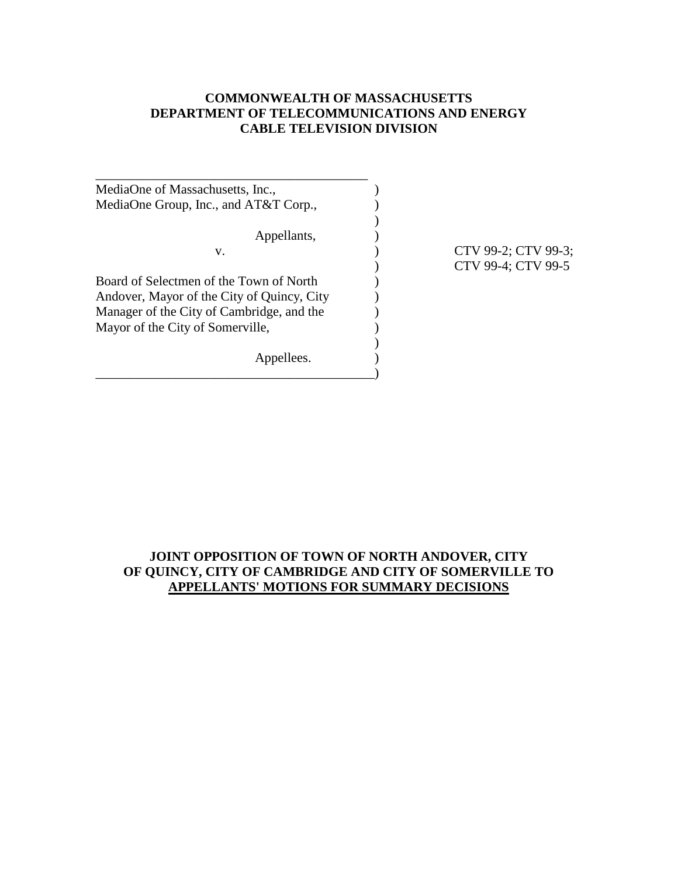## **COMMONWEALTH OF MASSACHUSETTS DEPARTMENT OF TELECOMMUNICATIONS AND ENERGY CABLE TELEVISION DIVISION**

| MediaOne of Massachusetts, Inc.,           |  |
|--------------------------------------------|--|
| MediaOne Group, Inc., and AT&T Corp.,      |  |
| Appellants,                                |  |
| v.                                         |  |
| Board of Selectmen of the Town of North    |  |
| Andover, Mayor of the City of Quincy, City |  |
| Manager of the City of Cambridge, and the  |  |
| Mayor of the City of Somerville,           |  |
| Appellees.                                 |  |
|                                            |  |

CTV 99-2; CTV 99-3; ) CTV 99-4; CTV 99-5

# **JOINT OPPOSITION OF TOWN OF NORTH ANDOVER, CITY OF QUINCY, CITY OF CAMBRIDGE AND CITY OF SOMERVILLE TO APPELLANTS' MOTIONS FOR SUMMARY DECISIONS**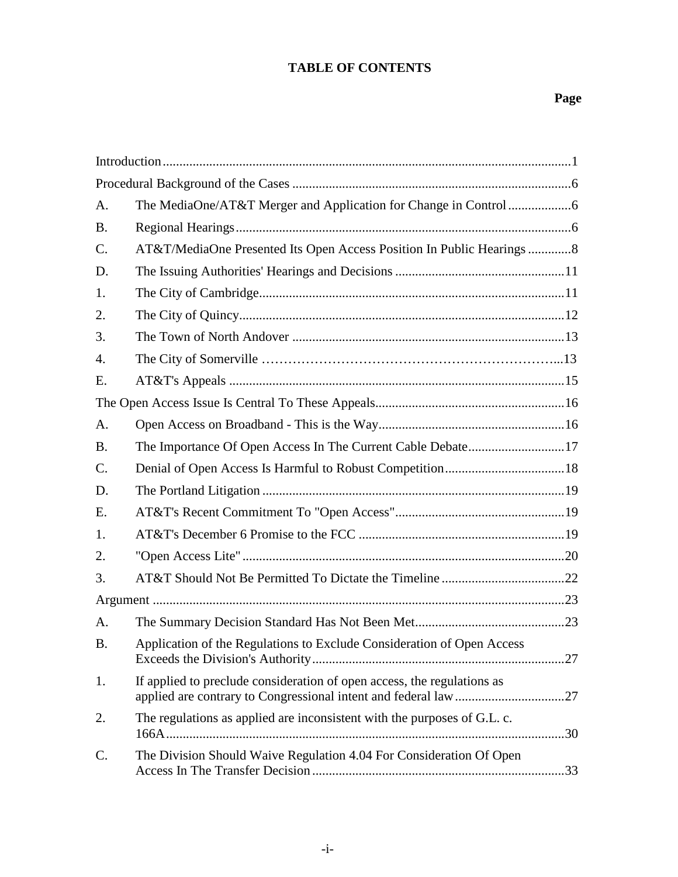# **TABLE OF CONTENTS**

| A.              |                                                                          |  |
|-----------------|--------------------------------------------------------------------------|--|
| <b>B.</b>       |                                                                          |  |
| C.              | AT&T/MediaOne Presented Its Open Access Position In Public Hearings 8    |  |
| D.              |                                                                          |  |
| 1.              |                                                                          |  |
| 2.              |                                                                          |  |
| 3.              |                                                                          |  |
| 4.              |                                                                          |  |
| Ε.              |                                                                          |  |
|                 |                                                                          |  |
| A.              |                                                                          |  |
| <b>B.</b>       | The Importance Of Open Access In The Current Cable Debate17              |  |
| $\mathcal{C}$ . |                                                                          |  |
| D.              |                                                                          |  |
| E.              |                                                                          |  |
| 1.              |                                                                          |  |
| 2.              |                                                                          |  |
| 3.              |                                                                          |  |
|                 |                                                                          |  |
| A.              |                                                                          |  |
| <b>B.</b>       | Application of the Regulations to Exclude Consideration of Open Access   |  |
| 1.              | If applied to preclude consideration of open access, the regulations as  |  |
| 2.              | The regulations as applied are inconsistent with the purposes of G.L. c. |  |
| C.              | The Division Should Waive Regulation 4.04 For Consideration Of Open      |  |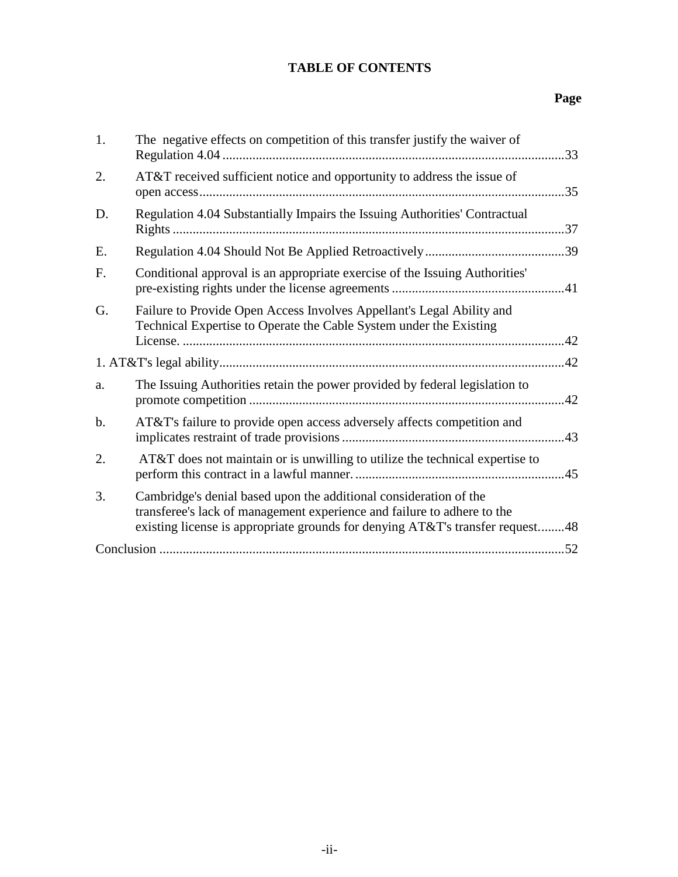# **TABLE OF CONTENTS**

# **Page**

| 1. | The negative effects on competition of this transfer justify the waiver of                                                                                                                                                    | 33  |
|----|-------------------------------------------------------------------------------------------------------------------------------------------------------------------------------------------------------------------------------|-----|
| 2. | AT&T received sufficient notice and opportunity to address the issue of                                                                                                                                                       | .35 |
| D. | Regulation 4.04 Substantially Impairs the Issuing Authorities' Contractual                                                                                                                                                    |     |
| E. |                                                                                                                                                                                                                               |     |
| F. | Conditional approval is an appropriate exercise of the Issuing Authorities'                                                                                                                                                   |     |
| G. | Failure to Provide Open Access Involves Appellant's Legal Ability and<br>Technical Expertise to Operate the Cable System under the Existing                                                                                   |     |
|    |                                                                                                                                                                                                                               |     |
| a. | The Issuing Authorities retain the power provided by federal legislation to                                                                                                                                                   | .42 |
| b. | AT&T's failure to provide open access adversely affects competition and                                                                                                                                                       |     |
| 2. | AT&T does not maintain or is unwilling to utilize the technical expertise to                                                                                                                                                  |     |
| 3. | Cambridge's denial based upon the additional consideration of the<br>transferee's lack of management experience and failure to adhere to the<br>existing license is appropriate grounds for denying AT&T's transfer request48 |     |
|    |                                                                                                                                                                                                                               |     |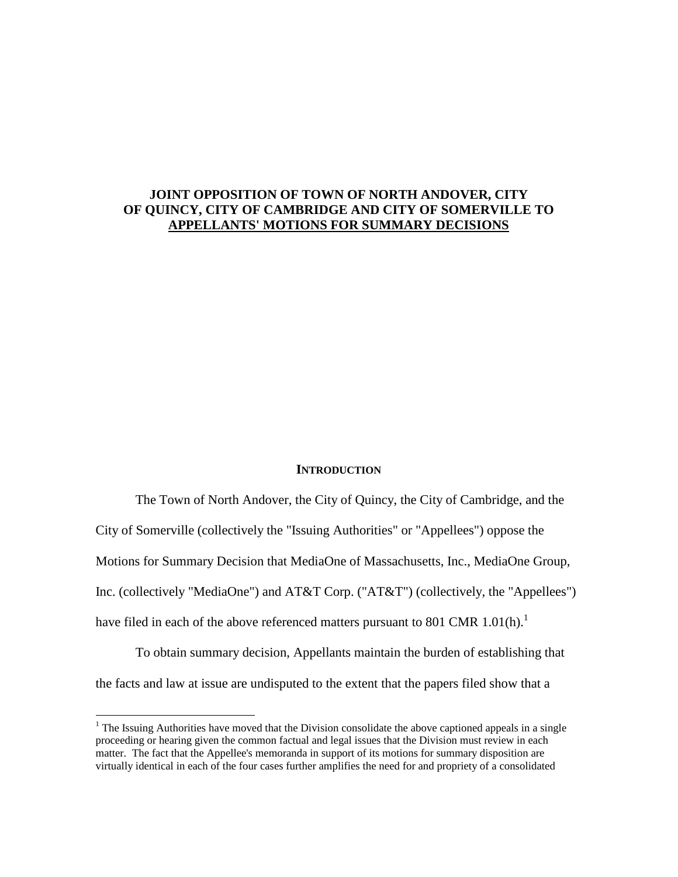## **JOINT OPPOSITION OF TOWN OF NORTH ANDOVER, CITY OF QUINCY, CITY OF CAMBRIDGE AND CITY OF SOMERVILLE TO APPELLANTS' MOTIONS FOR SUMMARY DECISIONS**

#### **INTRODUCTION**

The Town of North Andover, the City of Quincy, the City of Cambridge, and the City of Somerville (collectively the "Issuing Authorities" or "Appellees") oppose the Motions for Summary Decision that MediaOne of Massachusetts, Inc., MediaOne Group, Inc. (collectively "MediaOne") and AT&T Corp. ("AT&T") (collectively, the "Appellees") have filed in each of the above referenced matters pursuant to 801 CMR 1.01(h).<sup>1</sup>

To obtain summary decision, Appellants maintain the burden of establishing that the facts and law at issue are undisputed to the extent that the papers filed show that a

 $1$  The Issuing Authorities have moved that the Division consolidate the above captioned appeals in a single proceeding or hearing given the common factual and legal issues that the Division must review in each matter. The fact that the Appellee's memoranda in support of its motions for summary disposition are virtually identical in each of the four cases further amplifies the need for and propriety of a consolidated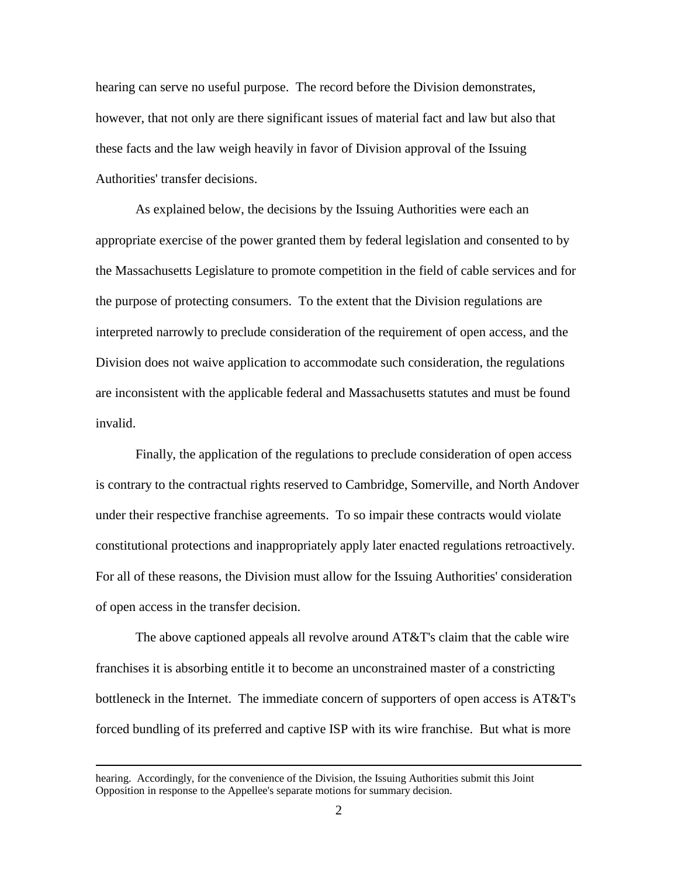hearing can serve no useful purpose. The record before the Division demonstrates, however, that not only are there significant issues of material fact and law but also that these facts and the law weigh heavily in favor of Division approval of the Issuing Authorities' transfer decisions.

As explained below, the decisions by the Issuing Authorities were each an appropriate exercise of the power granted them by federal legislation and consented to by the Massachusetts Legislature to promote competition in the field of cable services and for the purpose of protecting consumers. To the extent that the Division regulations are interpreted narrowly to preclude consideration of the requirement of open access, and the Division does not waive application to accommodate such consideration, the regulations are inconsistent with the applicable federal and Massachusetts statutes and must be found invalid.

Finally, the application of the regulations to preclude consideration of open access is contrary to the contractual rights reserved to Cambridge, Somerville, and North Andover under their respective franchise agreements. To so impair these contracts would violate constitutional protections and inappropriately apply later enacted regulations retroactively. For all of these reasons, the Division must allow for the Issuing Authorities' consideration of open access in the transfer decision.

The above captioned appeals all revolve around AT&T's claim that the cable wire franchises it is absorbing entitle it to become an unconstrained master of a constricting bottleneck in the Internet. The immediate concern of supporters of open access is AT&T's forced bundling of its preferred and captive ISP with its wire franchise. But what is more

hearing. Accordingly, for the convenience of the Division, the Issuing Authorities submit this Joint Opposition in response to the Appellee's separate motions for summary decision.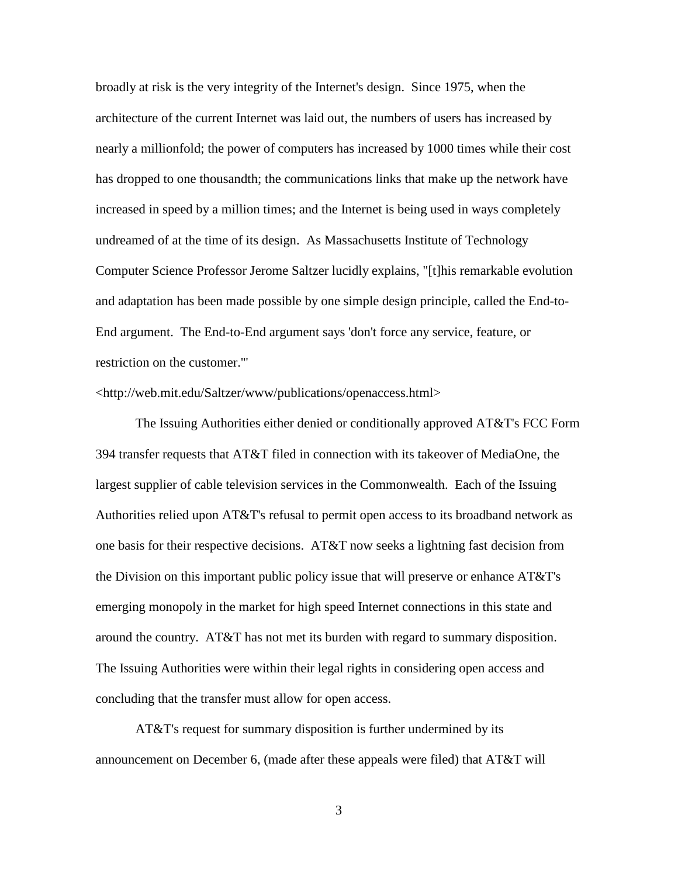broadly at risk is the very integrity of the Internet's design. Since 1975, when the architecture of the current Internet was laid out, the numbers of users has increased by nearly a millionfold; the power of computers has increased by 1000 times while their cost has dropped to one thousandth; the communications links that make up the network have increased in speed by a million times; and the Internet is being used in ways completely undreamed of at the time of its design. As Massachusetts Institute of Technology Computer Science Professor Jerome Saltzer lucidly explains, "[t]his remarkable evolution and adaptation has been made possible by one simple design principle, called the End-to-End argument. The End-to-End argument says 'don't force any service, feature, or restriction on the customer.'"

### <http://web.mit.edu/Saltzer/www/publications/openaccess.html>

The Issuing Authorities either denied or conditionally approved AT&T's FCC Form 394 transfer requests that AT&T filed in connection with its takeover of MediaOne, the largest supplier of cable television services in the Commonwealth. Each of the Issuing Authorities relied upon AT&T's refusal to permit open access to its broadband network as one basis for their respective decisions. AT&T now seeks a lightning fast decision from the Division on this important public policy issue that will preserve or enhance AT&T's emerging monopoly in the market for high speed Internet connections in this state and around the country. AT&T has not met its burden with regard to summary disposition. The Issuing Authorities were within their legal rights in considering open access and concluding that the transfer must allow for open access.

AT&T's request for summary disposition is further undermined by its announcement on December 6, (made after these appeals were filed) that AT&T will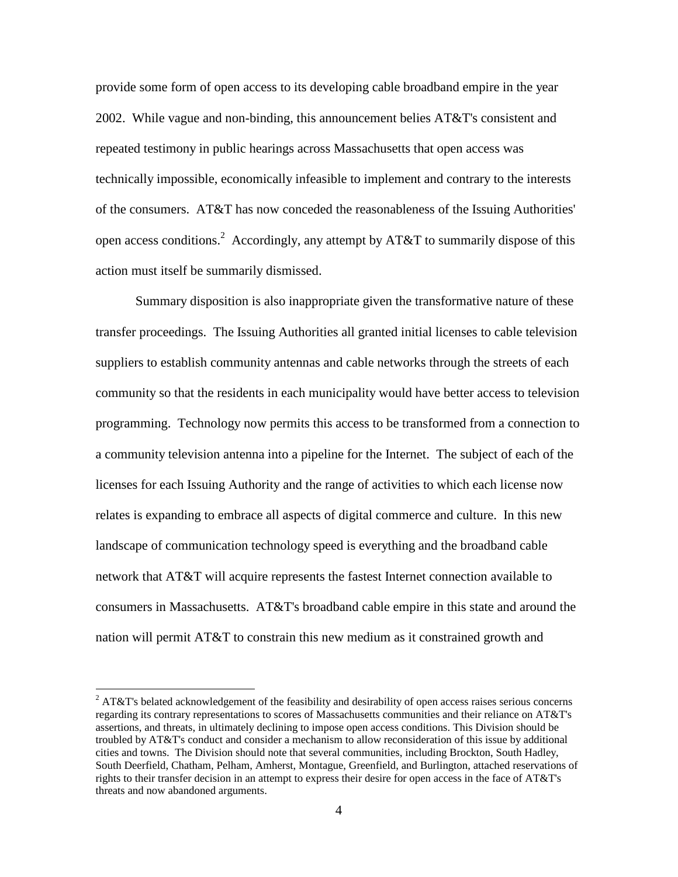provide some form of open access to its developing cable broadband empire in the year 2002. While vague and non-binding, this announcement belies  $AT&T$ 's consistent and repeated testimony in public hearings across Massachusetts that open access was technically impossible, economically infeasible to implement and contrary to the interests of the consumers. AT&T has now conceded the reasonableness of the Issuing Authorities' open access conditions.<sup>2</sup> Accordingly, any attempt by AT&T to summarily dispose of this action must itself be summarily dismissed.

Summary disposition is also inappropriate given the transformative nature of these transfer proceedings. The Issuing Authorities all granted initial licenses to cable television suppliers to establish community antennas and cable networks through the streets of each community so that the residents in each municipality would have better access to television programming. Technology now permits this access to be transformed from a connection to a community television antenna into a pipeline for the Internet. The subject of each of the licenses for each Issuing Authority and the range of activities to which each license now relates is expanding to embrace all aspects of digital commerce and culture. In this new landscape of communication technology speed is everything and the broadband cable network that AT&T will acquire represents the fastest Internet connection available to consumers in Massachusetts. AT&T's broadband cable empire in this state and around the nation will permit AT&T to constrain this new medium as it constrained growth and

 $2$  AT&T's belated acknowledgement of the feasibility and desirability of open access raises serious concerns regarding its contrary representations to scores of Massachusetts communities and their reliance on AT&T's assertions, and threats, in ultimately declining to impose open access conditions. This Division should be troubled by AT&T's conduct and consider a mechanism to allow reconsideration of this issue by additional cities and towns. The Division should note that several communities, including Brockton, South Hadley, South Deerfield, Chatham, Pelham, Amherst, Montague, Greenfield, and Burlington, attached reservations of rights to their transfer decision in an attempt to express their desire for open access in the face of AT&T's threats and now abandoned arguments.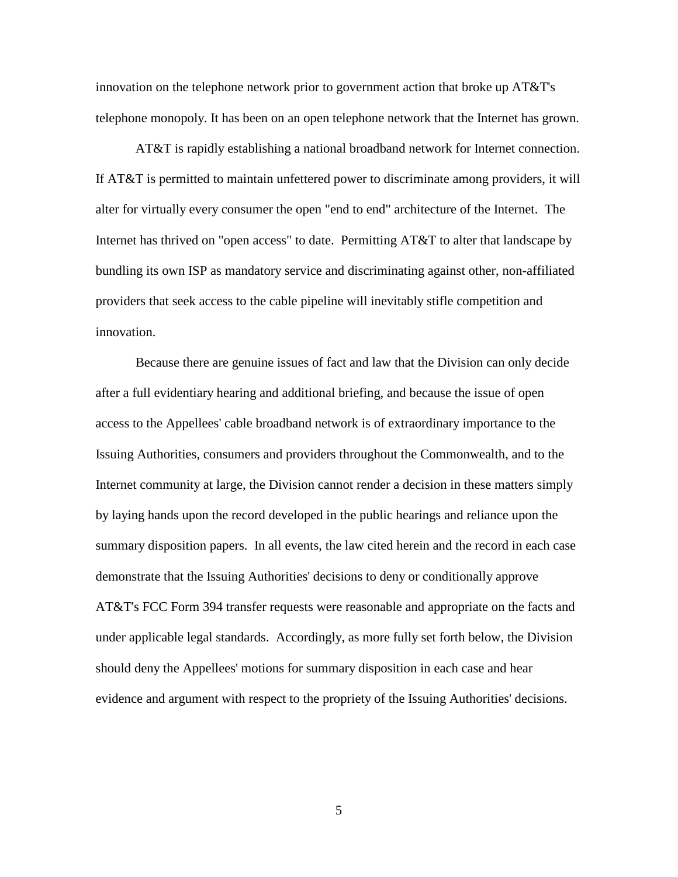innovation on the telephone network prior to government action that broke up AT&T's telephone monopoly. It has been on an open telephone network that the Internet has grown.

AT&T is rapidly establishing a national broadband network for Internet connection. If AT&T is permitted to maintain unfettered power to discriminate among providers, it will alter for virtually every consumer the open "end to end" architecture of the Internet. The Internet has thrived on "open access" to date. Permitting AT&T to alter that landscape by bundling its own ISP as mandatory service and discriminating against other, non-affiliated providers that seek access to the cable pipeline will inevitably stifle competition and innovation.

Because there are genuine issues of fact and law that the Division can only decide after a full evidentiary hearing and additional briefing, and because the issue of open access to the Appellees' cable broadband network is of extraordinary importance to the Issuing Authorities, consumers and providers throughout the Commonwealth, and to the Internet community at large, the Division cannot render a decision in these matters simply by laying hands upon the record developed in the public hearings and reliance upon the summary disposition papers. In all events, the law cited herein and the record in each case demonstrate that the Issuing Authorities' decisions to deny or conditionally approve AT&T's FCC Form 394 transfer requests were reasonable and appropriate on the facts and under applicable legal standards. Accordingly, as more fully set forth below, the Division should deny the Appellees' motions for summary disposition in each case and hear evidence and argument with respect to the propriety of the Issuing Authorities' decisions.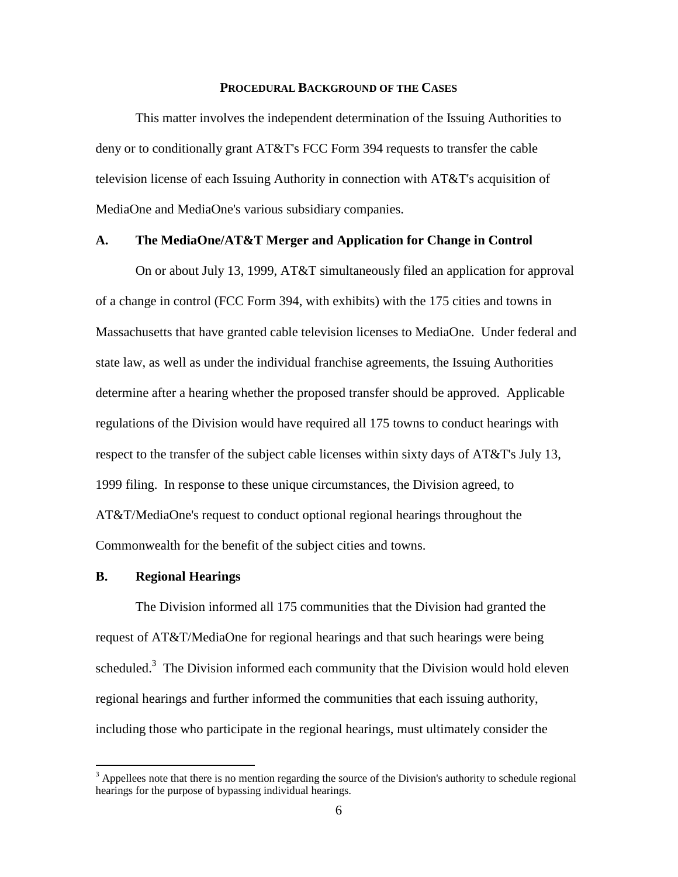#### **PROCEDURAL BACKGROUND OF THE CASES**

This matter involves the independent determination of the Issuing Authorities to deny or to conditionally grant AT&T's FCC Form 394 requests to transfer the cable television license of each Issuing Authority in connection with AT&T's acquisition of MediaOne and MediaOne's various subsidiary companies.

### **A. The MediaOne/AT&T Merger and Application for Change in Control**

On or about July 13, 1999, AT&T simultaneously filed an application for approval of a change in control (FCC Form 394, with exhibits) with the 175 cities and towns in Massachusetts that have granted cable television licenses to MediaOne. Under federal and state law, as well as under the individual franchise agreements, the Issuing Authorities determine after a hearing whether the proposed transfer should be approved. Applicable regulations of the Division would have required all 175 towns to conduct hearings with respect to the transfer of the subject cable licenses within sixty days of AT&T's July 13, 1999 filing. In response to these unique circumstances, the Division agreed, to AT&T/MediaOne's request to conduct optional regional hearings throughout the Commonwealth for the benefit of the subject cities and towns.

#### **B. Regional Hearings**

 $\overline{a}$ 

The Division informed all 175 communities that the Division had granted the request of AT&T/MediaOne for regional hearings and that such hearings were being scheduled.<sup>3</sup> The Division informed each community that the Division would hold eleven regional hearings and further informed the communities that each issuing authority, including those who participate in the regional hearings, must ultimately consider the

 $3$  Appellees note that there is no mention regarding the source of the Division's authority to schedule regional hearings for the purpose of bypassing individual hearings.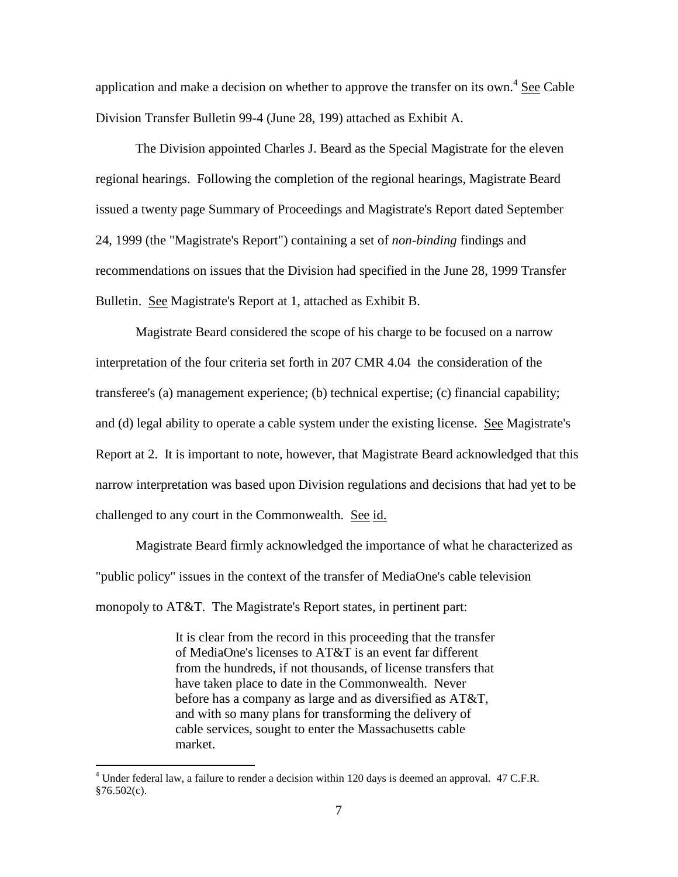application and make a decision on whether to approve the transfer on its own. $4 \text{ See }$  Cable Division Transfer Bulletin 99-4 (June 28, 199) attached as Exhibit A.

The Division appointed Charles J. Beard as the Special Magistrate for the eleven regional hearings. Following the completion of the regional hearings, Magistrate Beard issued a twenty page Summary of Proceedings and Magistrate's Report dated September 24, 1999 (the "Magistrate's Report") containing a set of *non-binding* findings and recommendations on issues that the Division had specified in the June 28, 1999 Transfer Bulletin. See Magistrate's Report at 1, attached as Exhibit B.

Magistrate Beard considered the scope of his charge to be focused on a narrow interpretation of the four criteria set forth in 207 CMR 4.04 the consideration of the transferee's (a) management experience; (b) technical expertise; (c) financial capability; and (d) legal ability to operate a cable system under the existing license. See Magistrate's Report at 2. It is important to note, however, that Magistrate Beard acknowledged that this narrow interpretation was based upon Division regulations and decisions that had yet to be challenged to any court in the Commonwealth. See id.

Magistrate Beard firmly acknowledged the importance of what he characterized as "public policy" issues in the context of the transfer of MediaOne's cable television monopoly to AT&T. The Magistrate's Report states, in pertinent part:

> It is clear from the record in this proceeding that the transfer of MediaOne's licenses to AT&T is an event far different from the hundreds, if not thousands, of license transfers that have taken place to date in the Commonwealth. Never before has a company as large and as diversified as AT&T, and with so many plans for transforming the delivery of cable services, sought to enter the Massachusetts cable market.

 $<sup>4</sup>$  Under federal law, a failure to render a decision within 120 days is deemed an approval. 47 C.F.R.</sup> §76.502(c).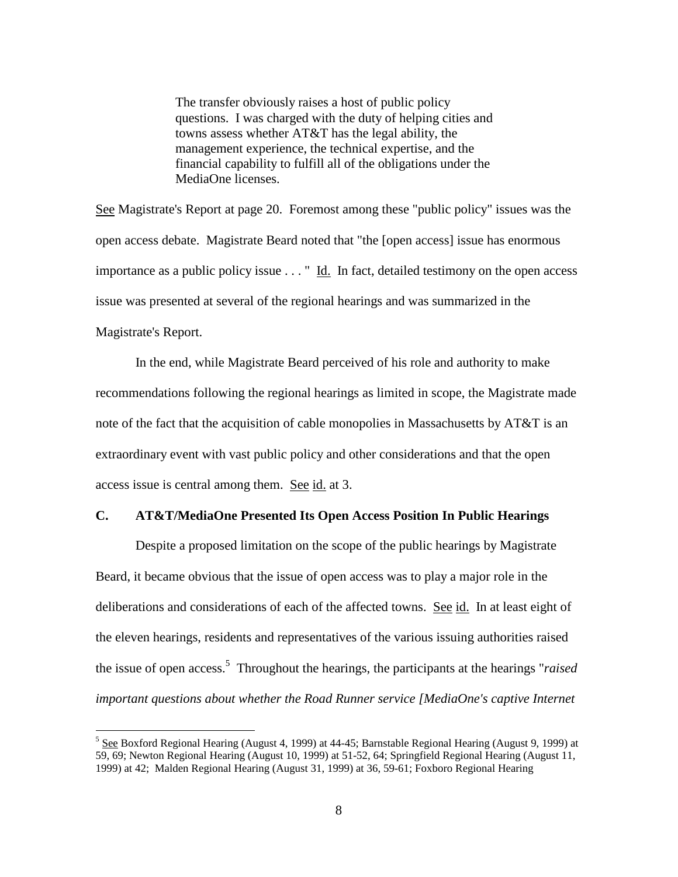The transfer obviously raises a host of public policy questions. I was charged with the duty of helping cities and towns assess whether AT&T has the legal ability, the management experience, the technical expertise, and the financial capability to fulfill all of the obligations under the MediaOne licenses.

See Magistrate's Report at page 20. Foremost among these "public policy" issues was the open access debate. Magistrate Beard noted that "the [open access] issue has enormous importance as a public policy issue . . . " Id. In fact, detailed testimony on the open access issue was presented at several of the regional hearings and was summarized in the Magistrate's Report.

In the end, while Magistrate Beard perceived of his role and authority to make recommendations following the regional hearings as limited in scope, the Magistrate made note of the fact that the acquisition of cable monopolies in Massachusetts by AT&T is an extraordinary event with vast public policy and other considerations and that the open access issue is central among them. See id. at 3.

### **C. AT&T/MediaOne Presented Its Open Access Position In Public Hearings**

Despite a proposed limitation on the scope of the public hearings by Magistrate Beard, it became obvious that the issue of open access was to play a major role in the deliberations and considerations of each of the affected towns. <u>See id.</u> In at least eight of the eleven hearings, residents and representatives of the various issuing authorities raised the issue of open access.<sup>5</sup> Throughout the hearings, the participants at the hearings "*raised important questions about whether the Road Runner service [MediaOne's captive Internet* 

<sup>&</sup>lt;sup>5</sup> See Boxford Regional Hearing (August 4, 1999) at 44-45; Barnstable Regional Hearing (August 9, 1999) at 59, 69; Newton Regional Hearing (August 10, 1999) at 51-52, 64; Springfield Regional Hearing (August 11, 1999) at 42; Malden Regional Hearing (August 31, 1999) at 36, 59-61; Foxboro Regional Hearing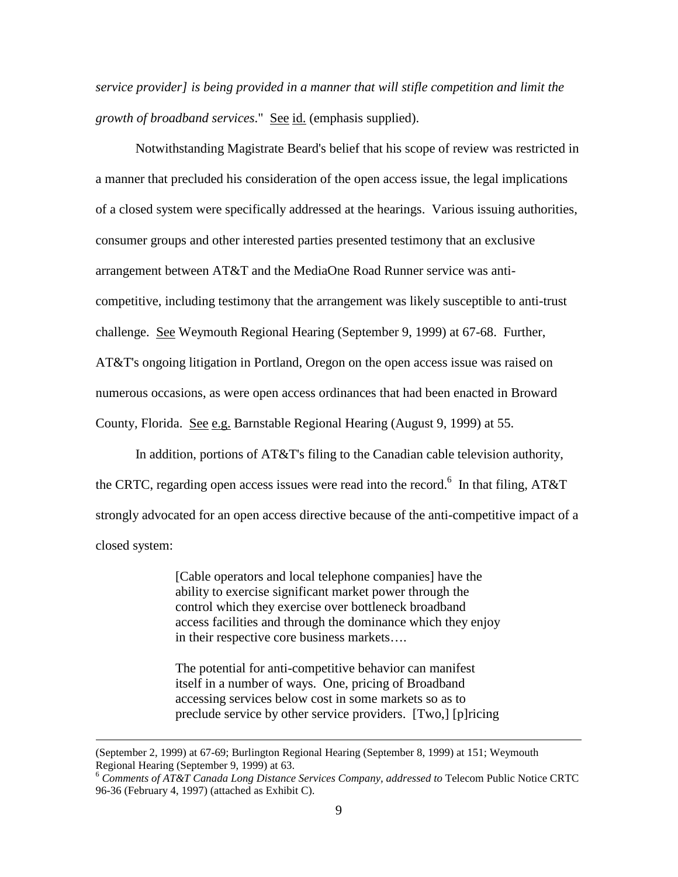*service provider] is being provided in a manner that will stifle competition and limit the growth of broadband services*." See id. (emphasis supplied).

Notwithstanding Magistrate Beard's belief that his scope of review was restricted in a manner that precluded his consideration of the open access issue, the legal implications of a closed system were specifically addressed at the hearings. Various issuing authorities, consumer groups and other interested parties presented testimony that an exclusive arrangement between AT&T and the MediaOne Road Runner service was anticompetitive, including testimony that the arrangement was likely susceptible to anti-trust challenge. See Weymouth Regional Hearing (September 9, 1999) at 67-68. Further, AT&T's ongoing litigation in Portland, Oregon on the open access issue was raised on numerous occasions, as were open access ordinances that had been enacted in Broward County, Florida. See e.g. Barnstable Regional Hearing (August 9, 1999) at 55.

In addition, portions of AT&T's filing to the Canadian cable television authority, the CRTC, regarding open access issues were read into the record.<sup>6</sup> In that filing, AT&T strongly advocated for an open access directive because of the anti-competitive impact of a closed system:

> [Cable operators and local telephone companies] have the ability to exercise significant market power through the control which they exercise over bottleneck broadband access facilities and through the dominance which they enjoy in their respective core business markets… .

> The potential for anti-competitive behavior can manifest itself in a number of ways. One, pricing of Broadband accessing services below cost in some markets so as to preclude service by other service providers. [Two,] [p]ricing

<sup>(</sup>September 2, 1999) at 67-69; Burlington Regional Hearing (September 8, 1999) at 151; Weymouth Regional Hearing (September 9, 1999) at 63.

<sup>6</sup> *Comments of AT&T Canada Long Distance Services Company, addressed to* Telecom Public Notice CRTC 96-36 (February 4, 1997) (attached as Exhibit C).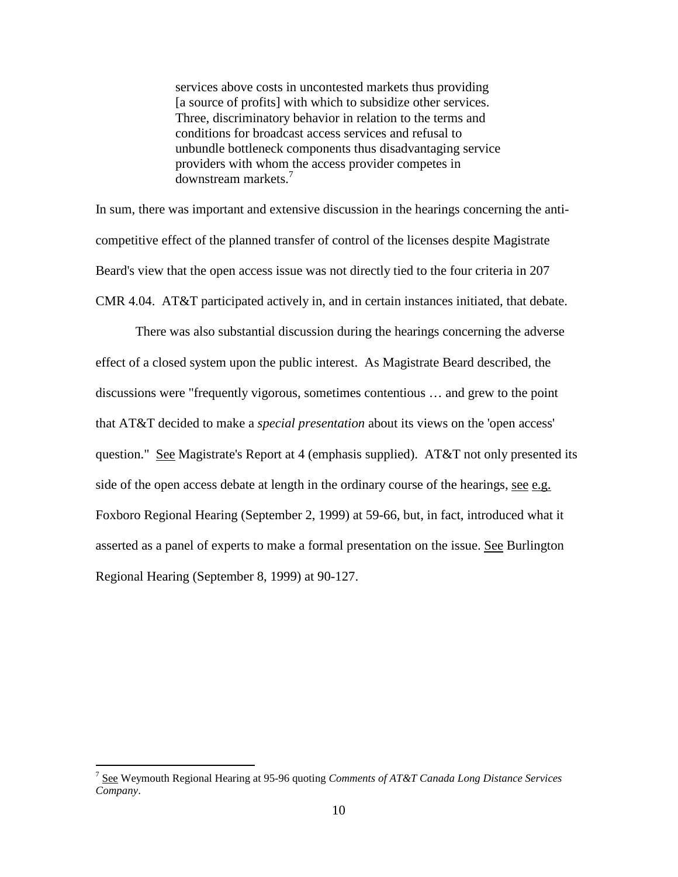services above costs in uncontested markets thus providing [a source of profits] with which to subsidize other services. Three, discriminatory behavior in relation to the terms and conditions for broadcast access services and refusal to unbundle bottleneck components thus disadvantaging service providers with whom the access provider competes in downstream markets.<sup>7</sup>

In sum, there was important and extensive discussion in the hearings concerning the anticompetitive effect of the planned transfer of control of the licenses despite Magistrate Beard's view that the open access issue was not directly tied to the four criteria in 207 CMR 4.04. AT&T participated actively in, and in certain instances initiated, that debate.

There was also substantial discussion during the hearings concerning the adverse effect of a closed system upon the public interest. As Magistrate Beard described, the discussions were "frequently vigorous, sometimes contentious … and grew to the point that AT&T decided to make a *special presentation* about its views on the 'open access' question." See Magistrate's Report at 4 (emphasis supplied). AT&T not only presented its side of the open access debate at length in the ordinary course of the hearings, see e.g. Foxboro Regional Hearing (September 2, 1999) at 59-66, but, in fact, introduced what it asserted as a panel of experts to make a formal presentation on the issue. See Burlington Regional Hearing (September 8, 1999) at 90-127.

<sup>7</sup> See Weymouth Regional Hearing at 95-96 quoting *Comments of AT&T Canada Long Distance Services Company*.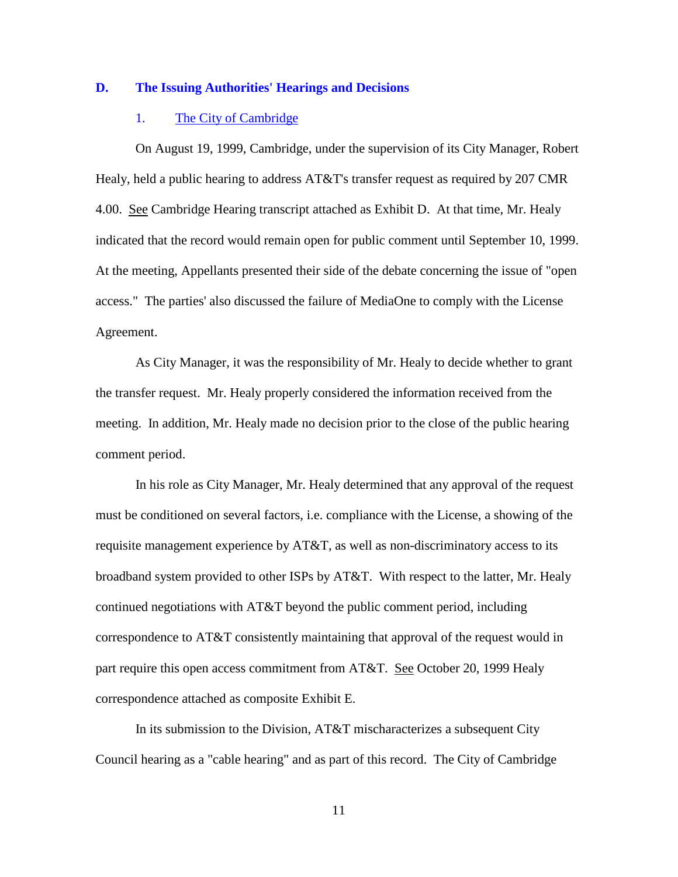### **D. The Issuing Authorities' Hearings and Decisions**

### 1. The City of Cambridge

On August 19, 1999, Cambridge, under the supervision of its City Manager, Robert Healy, held a public hearing to address AT&T's transfer request as required by 207 CMR 4.00. See Cambridge Hearing transcript attached as Exhibit D. At that time, Mr. Healy indicated that the record would remain open for public comment until September 10, 1999. At the meeting, Appellants presented their side of the debate concerning the issue of "open access." The parties' also discussed the failure of MediaOne to comply with the License Agreement.

As City Manager, it was the responsibility of Mr. Healy to decide whether to grant the transfer request. Mr. Healy properly considered the information received from the meeting. In addition, Mr. Healy made no decision prior to the close of the public hearing comment period.

In his role as City Manager, Mr. Healy determined that any approval of the request must be conditioned on several factors, i.e. compliance with the License, a showing of the requisite management experience by AT&T, as well as non-discriminatory access to its broadband system provided to other ISPs by AT&T. With respect to the latter, Mr. Healy continued negotiations with AT&T beyond the public comment period, including correspondence to AT&T consistently maintaining that approval of the request would in part require this open access commitment from AT&T. See October 20, 1999 Healy correspondence attached as composite Exhibit E.

In its submission to the Division, AT&T mischaracterizes a subsequent City Council hearing as a "cable hearing" and as part of this record. The City of Cambridge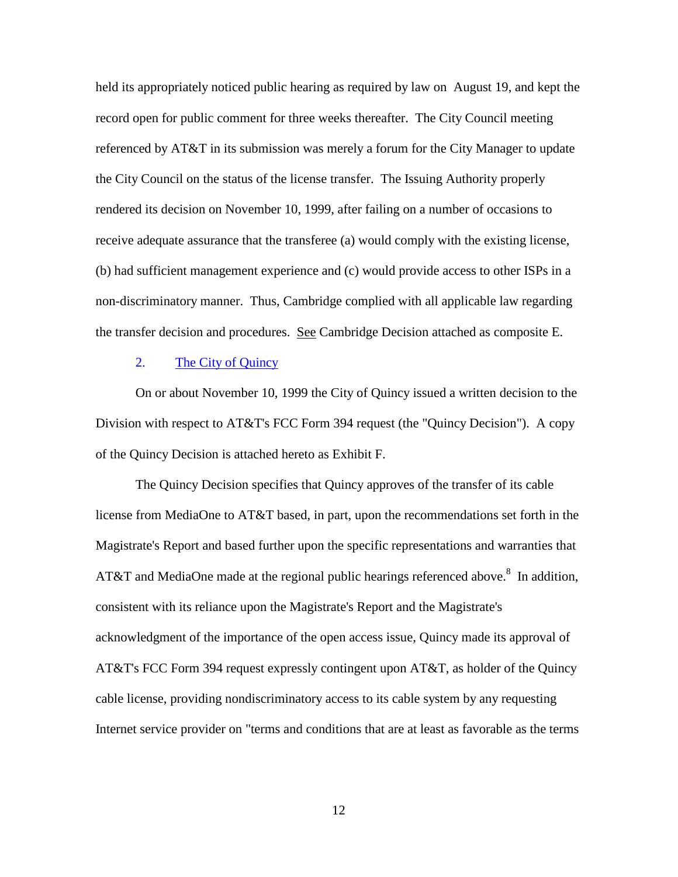held its appropriately noticed public hearing as required by law on August 19, and kept the record open for public comment for three weeks thereafter. The City Council meeting referenced by AT&T in its submission was merely a forum for the City Manager to update the City Council on the status of the license transfer. The Issuing Authority properly rendered its decision on November 10, 1999, after failing on a number of occasions to receive adequate assurance that the transferee (a) would comply with the existing license, (b) had sufficient management experience and (c) would provide access to other ISPs in a non-discriminatory manner. Thus, Cambridge complied with all applicable law regarding the transfer decision and procedures. See Cambridge Decision attached as composite E.

### 2. The City of Quincy

On or about November 10, 1999 the City of Quincy issued a written decision to the Division with respect to AT&T's FCC Form 394 request (the "Quincy Decision"). A copy of the Quincy Decision is attached hereto as Exhibit F.

The Quincy Decision specifies that Quincy approves of the transfer of its cable license from MediaOne to AT&T based, in part, upon the recommendations set forth in the Magistrate's Report and based further upon the specific representations and warranties that AT&T and MediaOne made at the regional public hearings referenced above.<sup>8</sup> In addition, consistent with its reliance upon the Magistrate's Report and the Magistrate's acknowledgment of the importance of the open access issue, Quincy made its approval of AT&T's FCC Form 394 request expressly contingent upon AT&T, as holder of the Quincy cable license, providing nondiscriminatory access to its cable system by any requesting Internet service provider on "terms and conditions that are at least as favorable as the terms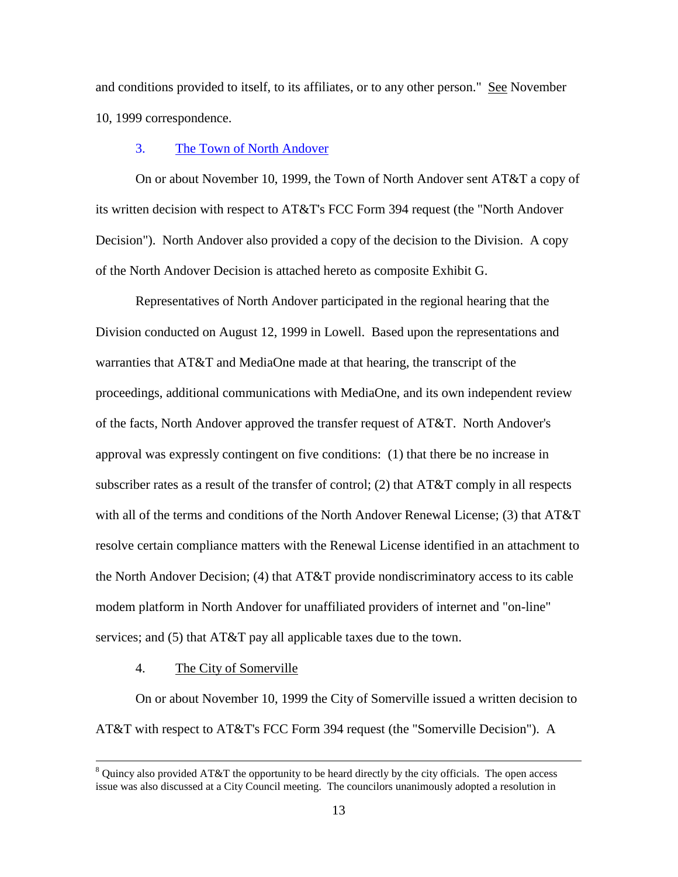and conditions provided to itself, to its affiliates, or to any other person." See November 10, 1999 correspondence.

### 3. The Town of North Andover

On or about November 10, 1999, the Town of North Andover sent AT&T a copy of its written decision with respect to AT&T's FCC Form 394 request (the "North Andover Decision"). North Andover also provided a copy of the decision to the Division. A copy of the North Andover Decision is attached hereto as composite Exhibit G.

Representatives of North Andover participated in the regional hearing that the Division conducted on August 12, 1999 in Lowell. Based upon the representations and warranties that AT&T and MediaOne made at that hearing, the transcript of the proceedings, additional communications with MediaOne, and its own independent review of the facts, North Andover approved the transfer request of AT&T. North Andover's approval was expressly contingent on five conditions: (1) that there be no increase in subscriber rates as a result of the transfer of control; (2) that  $AT&T$  comply in all respects with all of the terms and conditions of the North Andover Renewal License; (3) that AT&T resolve certain compliance matters with the Renewal License identified in an attachment to the North Andover Decision; (4) that AT&T provide nondiscriminatory access to its cable modem platform in North Andover for unaffiliated providers of internet and "on-line" services; and (5) that AT&T pay all applicable taxes due to the town.

4. The City of Somerville

 $\overline{a}$ 

On or about November 10, 1999 the City of Somerville issued a written decision to AT&T with respect to AT&T's FCC Form 394 request (the "Somerville Decision"). A

 $8$  Quincy also provided AT&T the opportunity to be heard directly by the city officials. The open access issue was also discussed at a City Council meeting. The councilors unanimously adopted a resolution in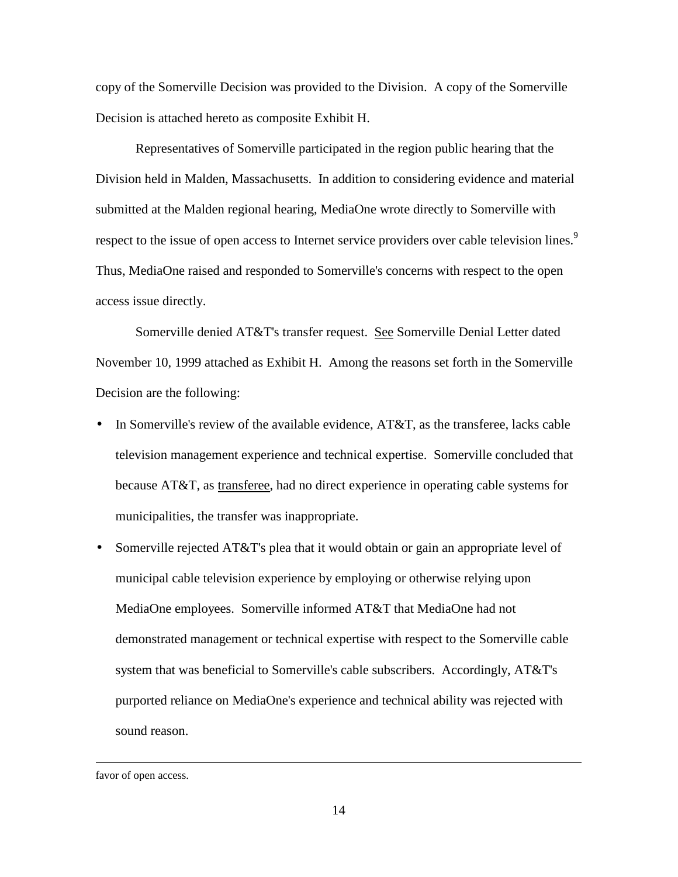copy of the Somerville Decision was provided to the Division. A copy of the Somerville Decision is attached hereto as composite Exhibit H.

Representatives of Somerville participated in the region public hearing that the Division held in Malden, Massachusetts. In addition to considering evidence and material submitted at the Malden regional hearing, MediaOne wrote directly to Somerville with respect to the issue of open access to Internet service providers over cable television lines.<sup>9</sup> Thus, MediaOne raised and responded to Somerville's concerns with respect to the open access issue directly.

Somerville denied AT&T's transfer request. See Somerville Denial Letter dated November 10, 1999 attached as Exhibit H. Among the reasons set forth in the Somerville Decision are the following:

- In Somerville's review of the available evidence,  $AT&T$ , as the transferee, lacks cable television management experience and technical expertise. Somerville concluded that because AT&T, as transferee, had no direct experience in operating cable systems for municipalities, the transfer was inappropriate.
- Somerville rejected AT&T's plea that it would obtain or gain an appropriate level of municipal cable television experience by employing or otherwise relying upon MediaOne employees. Somerville informed AT&T that MediaOne had not demonstrated management or technical expertise with respect to the Somerville cable system that was beneficial to Somerville's cable subscribers. Accordingly, AT&T's purported reliance on MediaOne's experience and technical ability was rejected with sound reason.

favor of open access.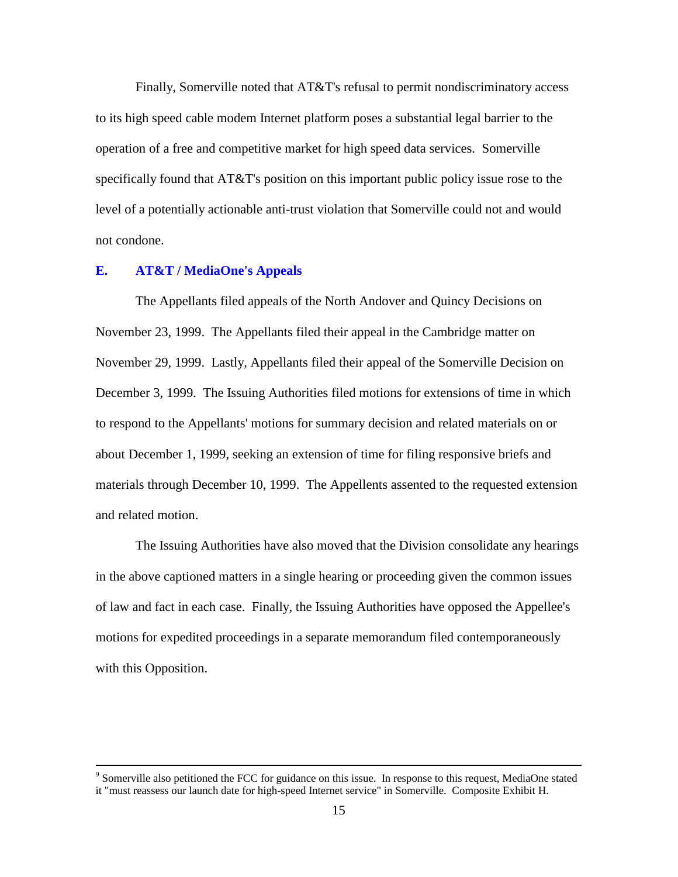Finally, Somerville noted that AT&T's refusal to permit nondiscriminatory access to its high speed cable modem Internet platform poses a substantial legal barrier to the operation of a free and competitive market for high speed data services. Somerville specifically found that AT&T's position on this important public policy issue rose to the level of a potentially actionable anti-trust violation that Somerville could not and would not condone.

### **E. AT&T / MediaOne's Appeals**

 $\overline{a}$ 

The Appellants filed appeals of the North Andover and Quincy Decisions on November 23, 1999. The Appellants filed their appeal in the Cambridge matter on November 29, 1999. Lastly, Appellants filed their appeal of the Somerville Decision on December 3, 1999. The Issuing Authorities filed motions for extensions of time in which to respond to the Appellants' motions for summary decision and related materials on or about December 1, 1999, seeking an extension of time for filing responsive briefs and materials through December 10, 1999. The Appellents assented to the requested extension and related motion.

The Issuing Authorities have also moved that the Division consolidate any hearings in the above captioned matters in a single hearing or proceeding given the common issues of law and fact in each case. Finally, the Issuing Authorities have opposed the Appellee's motions for expedited proceedings in a separate memorandum filed contemporaneously with this Opposition.

<sup>&</sup>lt;sup>9</sup> Somerville also petitioned the FCC for guidance on this issue. In response to this request, MediaOne stated it "must reassess our launch date for high-speed Internet service" in Somerville. Composite Exhibit H.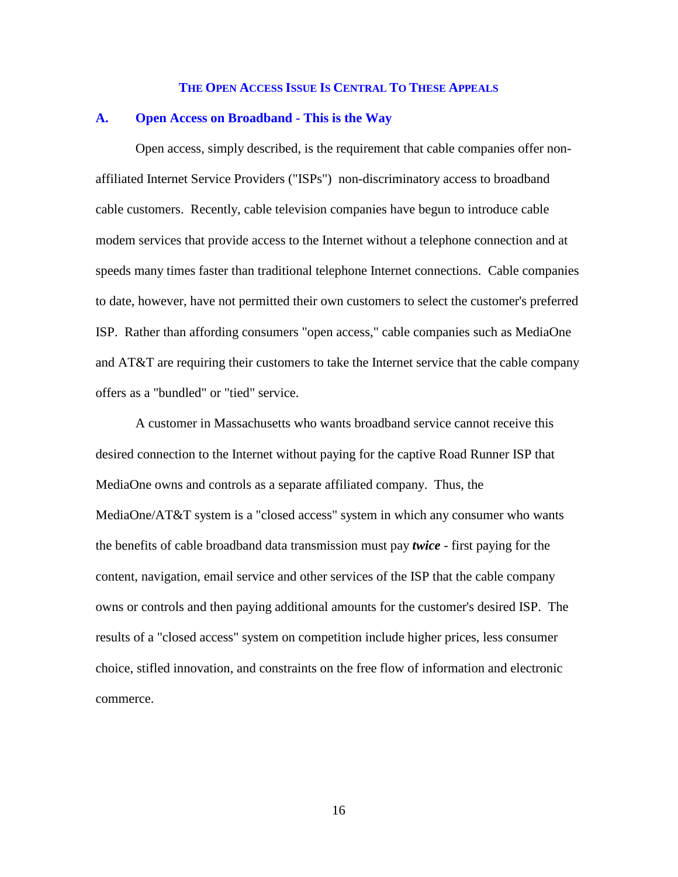#### **THE OPEN ACCESS ISSUE IS CENTRAL TO THESE APPEALS**

### **A. Open Access on Broadband - This is the Way**

Open access, simply described, is the requirement that cable companies offer nonaffiliated Internet Service Providers ("ISPs") non-discriminatory access to broadband cable customers. Recently, cable television companies have begun to introduce cable modem services that provide access to the Internet without a telephone connection and at speeds many times faster than traditional telephone Internet connections. Cable companies to date, however, have not permitted their own customers to select the customer's preferred ISP. Rather than affording consumers "open access," cable companies such as MediaOne and AT&T are requiring their customers to take the Internet service that the cable company offers as a "bundled" or "tied" service.

A customer in Massachusetts who wants broadband service cannot receive this desired connection to the Internet without paying for the captive Road Runner ISP that MediaOne owns and controls as a separate affiliated company. Thus, the MediaOne/AT&T system is a "closed access" system in which any consumer who wants the benefits of cable broadband data transmission must pay *twice* - first paying for the content, navigation, email service and other services of the ISP that the cable company owns or controls and then paying additional amounts for the customer's desired ISP. The results of a "closed access" system on competition include higher prices, less consumer choice, stifled innovation, and constraints on the free flow of information and electronic commerce.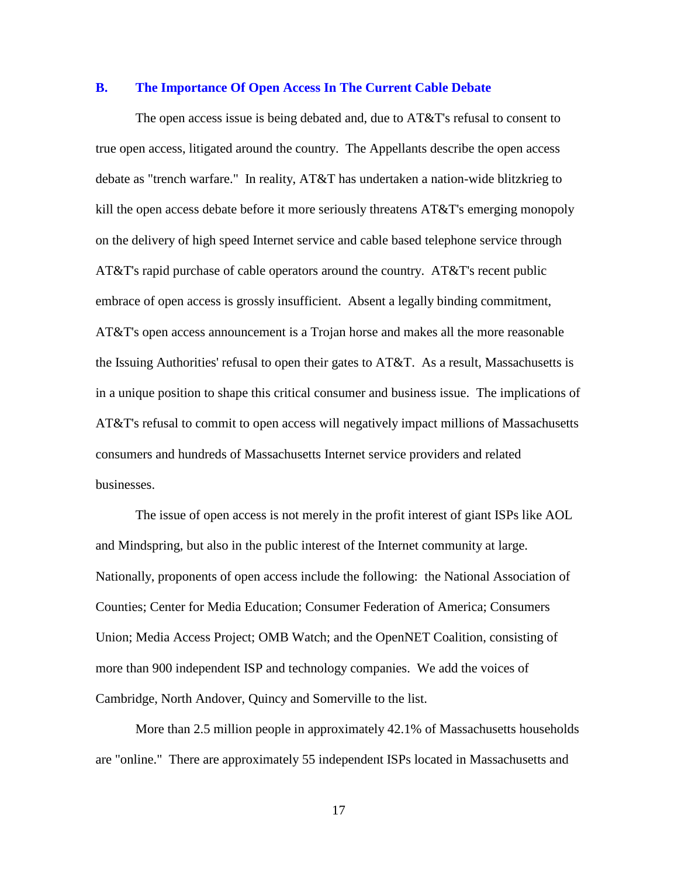#### **B. The Importance Of Open Access In The Current Cable Debate**

The open access issue is being debated and, due to AT&T's refusal to consent to true open access, litigated around the country. The Appellants describe the open access debate as "trench warfare." In reality, AT&T has undertaken a nation-wide blitzkrieg to kill the open access debate before it more seriously threatens AT&T's emerging monopoly on the delivery of high speed Internet service and cable based telephone service through AT&T's rapid purchase of cable operators around the country. AT&T's recent public embrace of open access is grossly insufficient. Absent a legally binding commitment, AT&T's open access announcement is a Trojan horse and makes all the more reasonable the Issuing Authorities' refusal to open their gates to AT&T. As a result, Massachusetts is in a unique position to shape this critical consumer and business issue. The implications of AT&T's refusal to commit to open access will negatively impact millions of Massachusetts consumers and hundreds of Massachusetts Internet service providers and related businesses.

The issue of open access is not merely in the profit interest of giant ISPs like AOL and Mindspring, but also in the public interest of the Internet community at large. Nationally, proponents of open access include the following: the National Association of Counties; Center for Media Education; Consumer Federation of America; Consumers Union; Media Access Project; OMB Watch; and the OpenNET Coalition, consisting of more than 900 independent ISP and technology companies. We add the voices of Cambridge, North Andover, Quincy and Somerville to the list.

More than 2.5 million people in approximately 42.1% of Massachusetts households are "online." There are approximately 55 independent ISPs located in Massachusetts and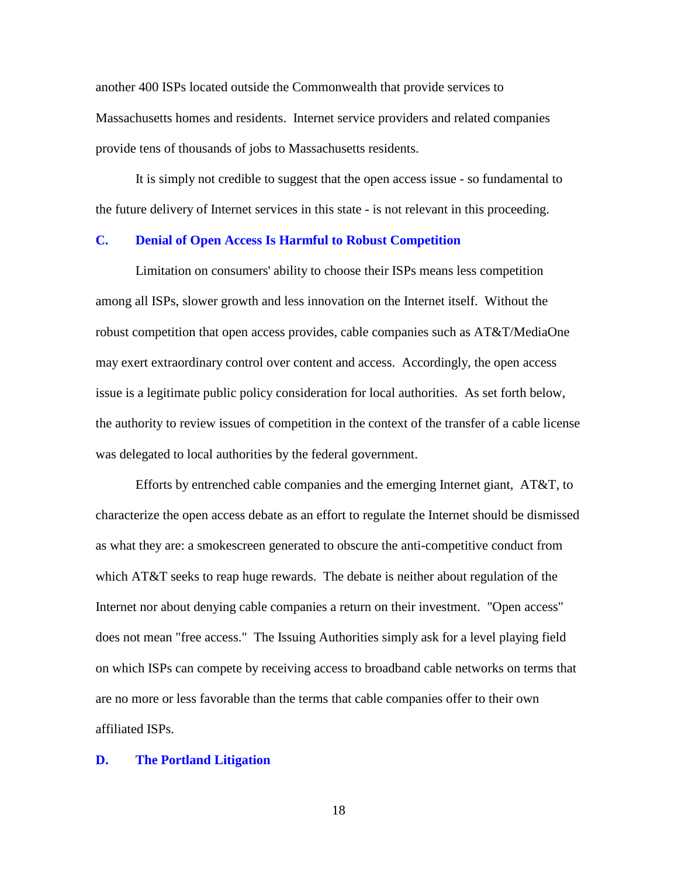another 400 ISPs located outside the Commonwealth that provide services to Massachusetts homes and residents. Internet service providers and related companies provide tens of thousands of jobs to Massachusetts residents.

It is simply not credible to suggest that the open access issue - so fundamental to the future delivery of Internet services in this state - is not relevant in this proceeding.

#### **C. Denial of Open Access Is Harmful to Robust Competition**

Limitation on consumers' ability to choose their ISPs means less competition among all ISPs, slower growth and less innovation on the Internet itself. Without the robust competition that open access provides, cable companies such as AT&T/MediaOne may exert extraordinary control over content and access. Accordingly, the open access issue is a legitimate public policy consideration for local authorities. As set forth below, the authority to review issues of competition in the context of the transfer of a cable license was delegated to local authorities by the federal government.

Efforts by entrenched cable companies and the emerging Internet giant, AT&T, to characterize the open access debate as an effort to regulate the Internet should be dismissed as what they are: a smokescreen generated to obscure the anti-competitive conduct from which AT&T seeks to reap huge rewards. The debate is neither about regulation of the Internet nor about denying cable companies a return on their investment. "Open access" does not mean "free access." The Issuing Authorities simply ask for a level playing field on which ISPs can compete by receiving access to broadband cable networks on terms that are no more or less favorable than the terms that cable companies offer to their own affiliated ISPs.

#### **D. The Portland Litigation**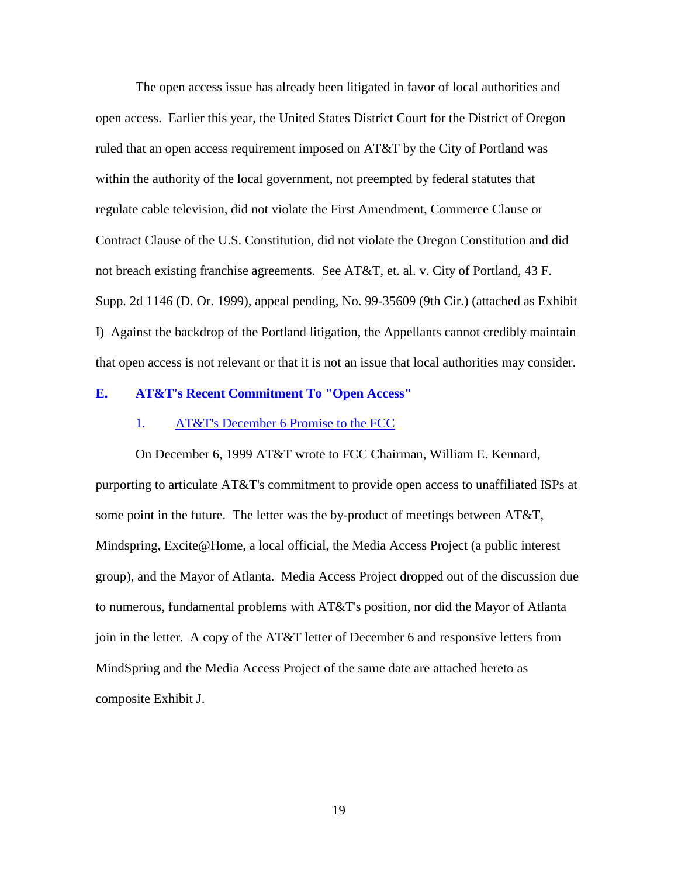The open access issue has already been litigated in favor of local authorities and open access. Earlier this year, the United States District Court for the District of Oregon ruled that an open access requirement imposed on AT&T by the City of Portland was within the authority of the local government, not preempted by federal statutes that regulate cable television, did not violate the First Amendment, Commerce Clause or Contract Clause of the U.S. Constitution, did not violate the Oregon Constitution and did not breach existing franchise agreements. See AT&T, et. al. v. City of Portland, 43 F. Supp. 2d 1146 (D. Or. 1999), appeal pending, No. 99-35609 (9th Cir.) (attached as Exhibit I) Against the backdrop of the Portland litigation, the Appellants cannot credibly maintain that open access is not relevant or that it is not an issue that local authorities may consider.

#### **E. AT&T's Recent Commitment To "Open Access"**

#### 1. AT&T's December 6 Promise to the FCC

On December 6, 1999 AT&T wrote to FCC Chairman, William E. Kennard, purporting to articulate AT&T's commitment to provide open access to unaffiliated ISPs at some point in the future. The letter was the by-product of meetings between AT&T, Mindspring, Excite@Home, a local official, the Media Access Project (a public interest group), and the Mayor of Atlanta. Media Access Project dropped out of the discussion due to numerous, fundamental problems with AT&T's position, nor did the Mayor of Atlanta join in the letter. A copy of the AT&T letter of December 6 and responsive letters from MindSpring and the Media Access Project of the same date are attached hereto as composite Exhibit J.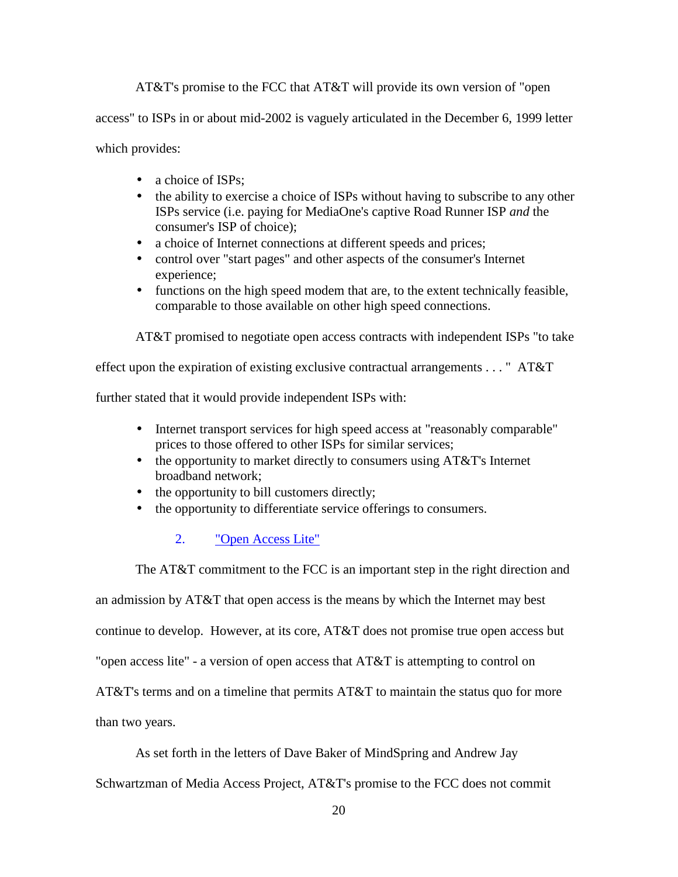AT&T's promise to the FCC that AT&T will provide its own version of "open

access" to ISPs in or about mid-2002 is vaguely articulated in the December 6, 1999 letter

which provides:

- a choice of ISPs:
- the ability to exercise a choice of ISPs without having to subscribe to any other ISPs service (i.e. paying for MediaOne's captive Road Runner ISP *and* the consumer's ISP of choice);
- a choice of Internet connections at different speeds and prices;
- control over "start pages" and other aspects of the consumer's Internet experience;
- functions on the high speed modem that are, to the extent technically feasible, comparable to those available on other high speed connections.

AT&T promised to negotiate open access contracts with independent ISPs "to take

effect upon the expiration of existing exclusive contractual arrangements . . . " AT&T

further stated that it would provide independent ISPs with:

- Internet transport services for high speed access at "reasonably comparable" prices to those offered to other ISPs for similar services;
- the opportunity to market directly to consumers using AT&T's Internet broadband network;
- the opportunity to bill customers directly;
- the opportunity to differentiate service offerings to consumers.

# 2. "Open Access Lite"

The AT&T commitment to the FCC is an important step in the right direction and

an admission by AT&T that open access is the means by which the Internet may best

continue to develop. However, at its core, AT&T does not promise true open access but

"open access lite" - a version of open access that AT&T is attempting to control on

AT&T's terms and on a timeline that permits AT&T to maintain the status quo for more

than two years.

As set forth in the letters of Dave Baker of MindSpring and Andrew Jay

Schwartzman of Media Access Project, AT&T's promise to the FCC does not commit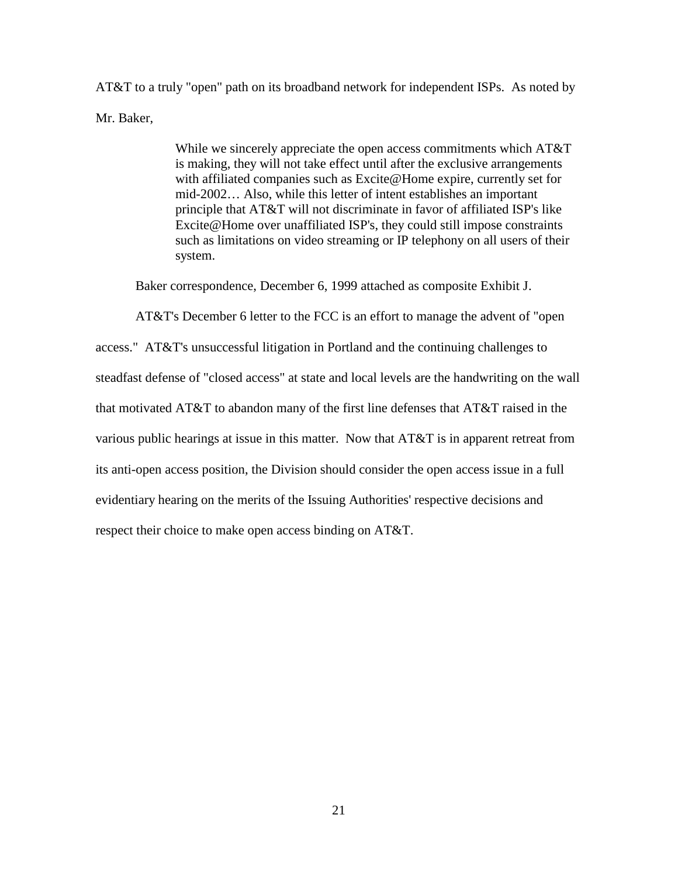AT&T to a truly "open" path on its broadband network for independent ISPs. As noted by Mr. Baker,

> While we sincerely appreciate the open access commitments which AT&T is making, they will not take effect until after the exclusive arrangements with affiliated companies such as Excite@Home expire, currently set for mid-2002… Also, while this letter of intent establishes an important principle that AT&T will not discriminate in favor of affiliated ISP's like Excite@Home over unaffiliated ISP's, they could still impose constraints such as limitations on video streaming or IP telephony on all users of their system.

Baker correspondence, December 6, 1999 attached as composite Exhibit J.

AT&T's December 6 letter to the FCC is an effort to manage the advent of "open

access." AT&T's unsuccessful litigation in Portland and the continuing challenges to steadfast defense of "closed access" at state and local levels are the handwriting on the wall that motivated AT&T to abandon many of the first line defenses that AT&T raised in the various public hearings at issue in this matter. Now that AT&T is in apparent retreat from its anti-open access position, the Division should consider the open access issue in a full evidentiary hearing on the merits of the Issuing Authorities' respective decisions and respect their choice to make open access binding on AT&T.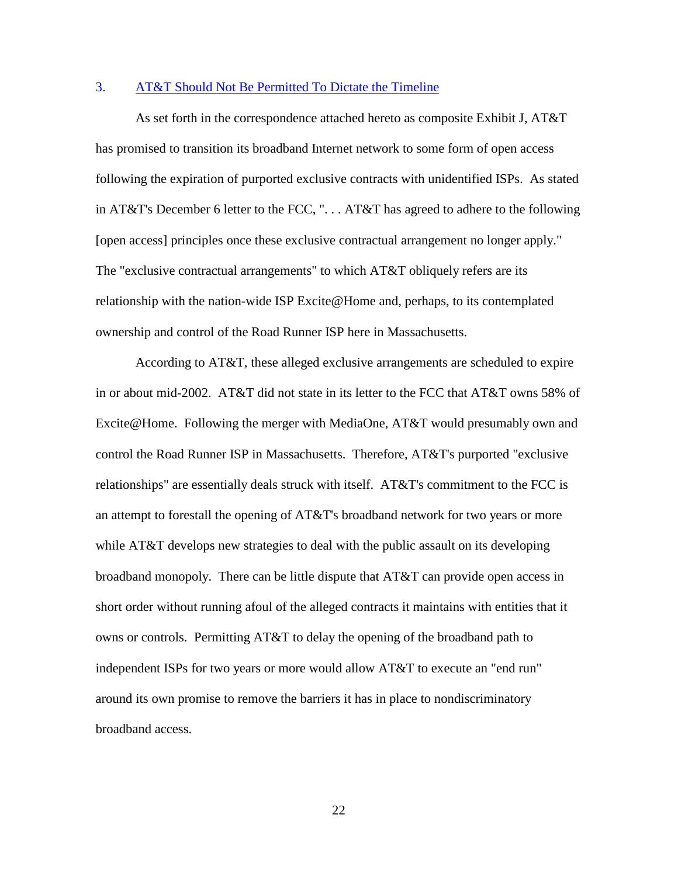### 3. AT&T Should Not Be Permitted To Dictate the Timeline

As set forth in the correspondence attached hereto as composite Exhibit J, AT&T has promised to transition its broadband Internet network to some form of open access following the expiration of purported exclusive contracts with unidentified ISPs. As stated in AT&T's December 6 letter to the FCC, ". . . AT&T has agreed to adhere to the following [open access] principles once these exclusive contractual arrangement no longer apply." The "exclusive contractual arrangements" to which AT&T obliquely refers are its relationship with the nation-wide ISP Excite@Home and, perhaps, to its contemplated ownership and control of the Road Runner ISP here in Massachusetts.

According to AT&T, these alleged exclusive arrangements are scheduled to expire in or about mid-2002. AT&T did not state in its letter to the FCC that AT&T owns 58% of Excite@Home. Following the merger with MediaOne, AT&T would presumably own and control the Road Runner ISP in Massachusetts. Therefore, AT&T's purported "exclusive relationships" are essentially deals struck with itself. AT&T's commitment to the FCC is an attempt to forestall the opening of AT&T's broadband network for two years or more while AT&T develops new strategies to deal with the public assault on its developing broadband monopoly. There can be little dispute that AT&T can provide open access in short order without running afoul of the alleged contracts it maintains with entities that it owns or controls. Permitting AT&T to delay the opening of the broadband path to independent ISPs for two years or more would allow AT&T to execute an "end run" around its own promise to remove the barriers it has in place to nondiscriminatory broadband access.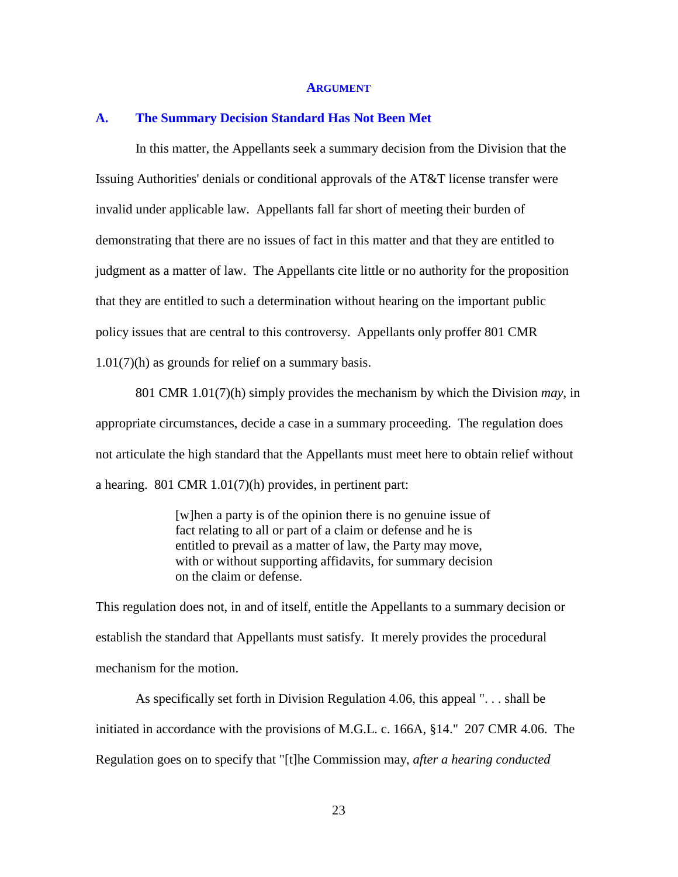#### **ARGUMENT**

#### **A. The Summary Decision Standard Has Not Been Met**

In this matter, the Appellants seek a summary decision from the Division that the Issuing Authorities' denials or conditional approvals of the AT&T license transfer were invalid under applicable law. Appellants fall far short of meeting their burden of demonstrating that there are no issues of fact in this matter and that they are entitled to judgment as a matter of law. The Appellants cite little or no authority for the proposition that they are entitled to such a determination without hearing on the important public policy issues that are central to this controversy. Appellants only proffer 801 CMR 1.01(7)(h) as grounds for relief on a summary basis.

801 CMR 1.01(7)(h) simply provides the mechanism by which the Division *may*, in appropriate circumstances, decide a case in a summary proceeding. The regulation does not articulate the high standard that the Appellants must meet here to obtain relief without a hearing. 801 CMR 1.01(7)(h) provides, in pertinent part:

> [w]hen a party is of the opinion there is no genuine issue of fact relating to all or part of a claim or defense and he is entitled to prevail as a matter of law, the Party may move, with or without supporting affidavits, for summary decision on the claim or defense.

This regulation does not, in and of itself, entitle the Appellants to a summary decision or establish the standard that Appellants must satisfy. It merely provides the procedural mechanism for the motion.

As specifically set forth in Division Regulation 4.06, this appeal ". . . shall be initiated in accordance with the provisions of M.G.L. c. 166A, §14." 207 CMR 4.06. The Regulation goes on to specify that "[t]he Commission may, *after a hearing conducted*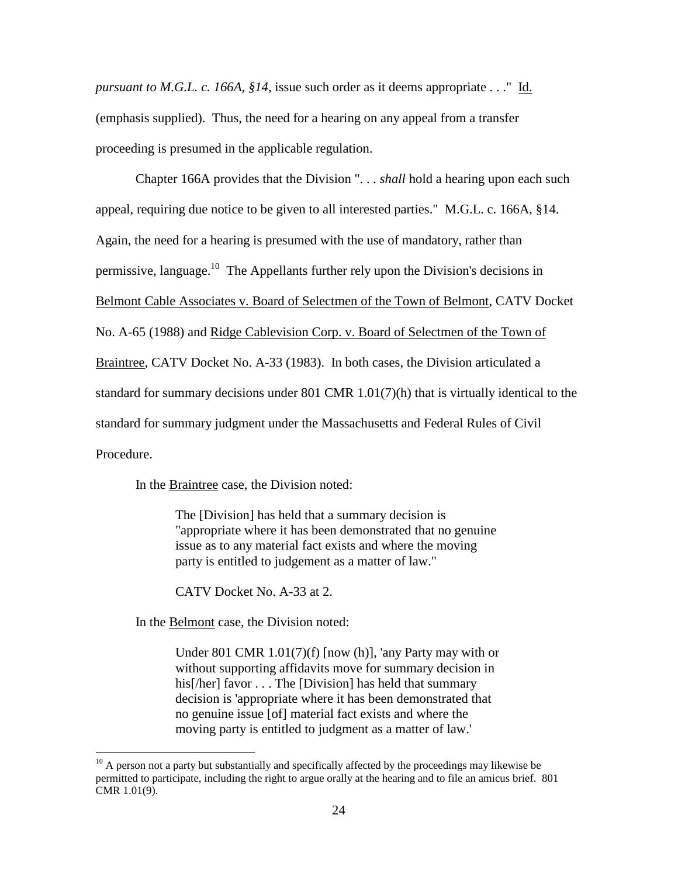*pursuant to M.G.L. c. 166A, §14*, issue such order as it deems appropriate . . ." Id. (emphasis supplied). Thus, the need for a hearing on any appeal from a transfer proceeding is presumed in the applicable regulation.

Chapter 166A provides that the Division ". . . *shall* hold a hearing upon each such appeal, requiring due notice to be given to all interested parties." M.G.L. c. 166A, §14. Again, the need for a hearing is presumed with the use of mandatory, rather than permissive, language.<sup>10</sup> The Appellants further rely upon the Division's decisions in Belmont Cable Associates v. Board of Selectmen of the Town of Belmont, CATV Docket No. A-65 (1988) and Ridge Cablevision Corp. v. Board of Selectmen of the Town of Braintree, CATV Docket No. A-33 (1983). In both cases, the Division articulated a standard for summary decisions under 801 CMR 1.01(7)(h) that is virtually identical to the standard for summary judgment under the Massachusetts and Federal Rules of Civil Procedure.

In the Braintree case, the Division noted:

The [Division] has held that a summary decision is "appropriate where it has been demonstrated that no genuine issue as to any material fact exists and where the moving party is entitled to judgement as a matter of law."

CATV Docket No. A-33 at 2.

In the Belmont case, the Division noted:

 $\overline{a}$ 

Under 801 CMR 1.01(7)(f) [now (h)], 'any Party may with or without supporting affidavits move for summary decision in his[/her] favor . . . The [Division] has held that summary decision is 'appropriate where it has been demonstrated that no genuine issue [of] material fact exists and where the moving party is entitled to judgment as a matter of law.'

 $10$  A person not a party but substantially and specifically affected by the proceedings may likewise be permitted to participate, including the right to argue orally at the hearing and to file an amicus brief. 801 CMR 1.01(9).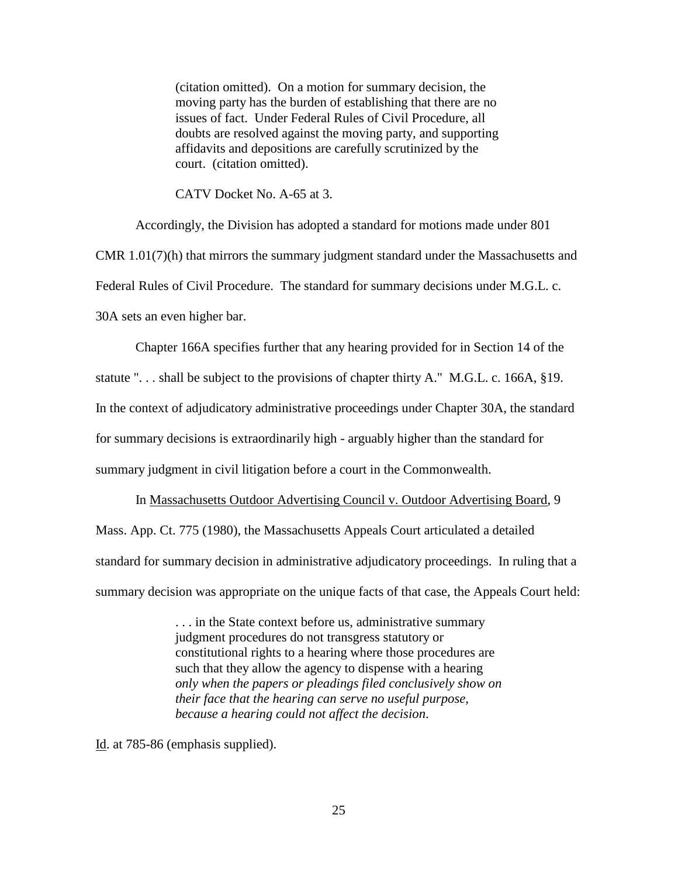(citation omitted). On a motion for summary decision, the moving party has the burden of establishing that there are no issues of fact. Under Federal Rules of Civil Procedure, all doubts are resolved against the moving party, and supporting affidavits and depositions are carefully scrutinized by the court. (citation omitted).

CATV Docket No. A-65 at 3.

Accordingly, the Division has adopted a standard for motions made under 801 CMR 1.01(7)(h) that mirrors the summary judgment standard under the Massachusetts and Federal Rules of Civil Procedure. The standard for summary decisions under M.G.L. c. 30A sets an even higher bar.

Chapter 166A specifies further that any hearing provided for in Section 14 of the statute "... shall be subject to the provisions of chapter thirty A." M.G.L. c. 166A, §19. In the context of adjudicatory administrative proceedings under Chapter 30A, the standard for summary decisions is extraordinarily high - arguably higher than the standard for summary judgment in civil litigation before a court in the Commonwealth.

In Massachusetts Outdoor Advertising Council v. Outdoor Advertising Board, 9 Mass. App. Ct. 775 (1980), the Massachusetts Appeals Court articulated a detailed standard for summary decision in administrative adjudicatory proceedings. In ruling that a summary decision was appropriate on the unique facts of that case, the Appeals Court held:

> . . . in the State context before us, administrative summary judgment procedures do not transgress statutory or constitutional rights to a hearing where those procedures are such that they allow the agency to dispense with a hearing *only when the papers or pleadings filed conclusively show on their face that the hearing can serve no useful purpose, because a hearing could not affect the decision*.

Id. at 785-86 (emphasis supplied).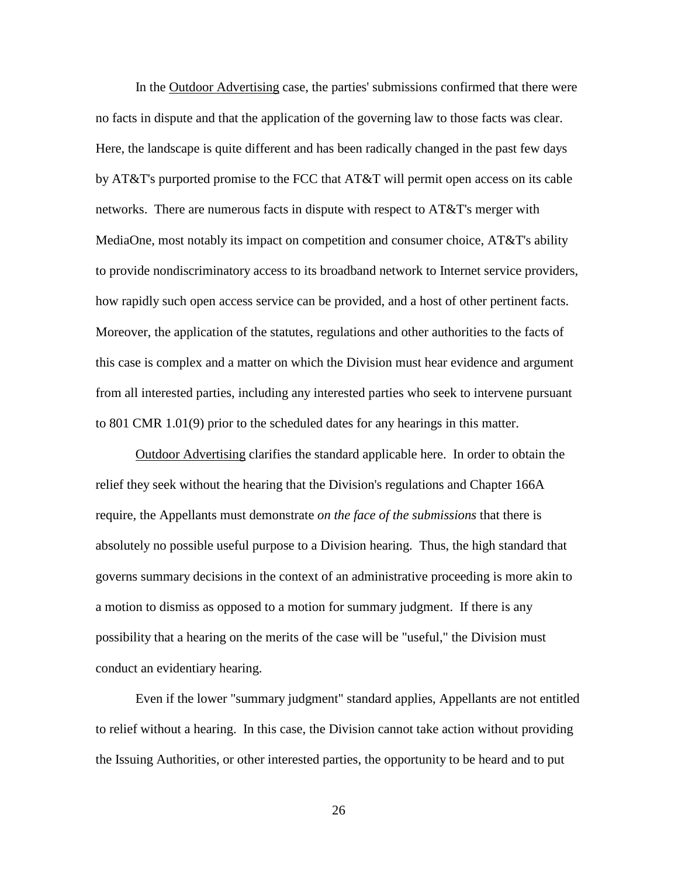In the Outdoor Advertising case, the parties' submissions confirmed that there were no facts in dispute and that the application of the governing law to those facts was clear. Here, the landscape is quite different and has been radically changed in the past few days by AT&T's purported promise to the FCC that AT&T will permit open access on its cable networks. There are numerous facts in dispute with respect to AT&T's merger with MediaOne, most notably its impact on competition and consumer choice, AT&T's ability to provide nondiscriminatory access to its broadband network to Internet service providers, how rapidly such open access service can be provided, and a host of other pertinent facts. Moreover, the application of the statutes, regulations and other authorities to the facts of this case is complex and a matter on which the Division must hear evidence and argument from all interested parties, including any interested parties who seek to intervene pursuant to 801 CMR 1.01(9) prior to the scheduled dates for any hearings in this matter.

Outdoor Advertising clarifies the standard applicable here. In order to obtain the relief they seek without the hearing that the Division's regulations and Chapter 166A require, the Appellants must demonstrate *on the face of the submissions* that there is absolutely no possible useful purpose to a Division hearing. Thus, the high standard that governs summary decisions in the context of an administrative proceeding is more akin to a motion to dismiss as opposed to a motion for summary judgment. If there is any possibility that a hearing on the merits of the case will be "useful," the Division must conduct an evidentiary hearing.

Even if the lower "summary judgment" standard applies, Appellants are not entitled to relief without a hearing. In this case, the Division cannot take action without providing the Issuing Authorities, or other interested parties, the opportunity to be heard and to put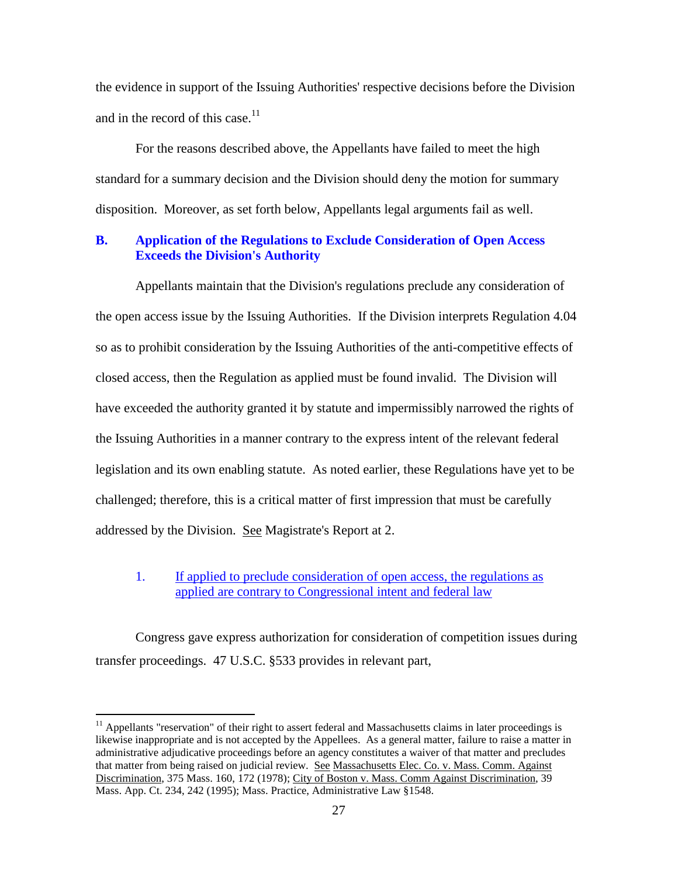the evidence in support of the Issuing Authorities' respective decisions before the Division and in the record of this case.<sup>11</sup>

For the reasons described above, the Appellants have failed to meet the high standard for a summary decision and the Division should deny the motion for summary disposition. Moreover, as set forth below, Appellants legal arguments fail as well.

### **B. Application of the Regulations to Exclude Consideration of Open Access Exceeds the Division's Authority**

Appellants maintain that the Division's regulations preclude any consideration of the open access issue by the Issuing Authorities. If the Division interprets Regulation 4.04 so as to prohibit consideration by the Issuing Authorities of the anti-competitive effects of closed access, then the Regulation as applied must be found invalid. The Division will have exceeded the authority granted it by statute and impermissibly narrowed the rights of the Issuing Authorities in a manner contrary to the express intent of the relevant federal legislation and its own enabling statute. As noted earlier, these Regulations have yet to be challenged; therefore, this is a critical matter of first impression that must be carefully addressed by the Division. See Magistrate's Report at 2.

### 1. If applied to preclude consideration of open access, the regulations as applied are contrary to Congressional intent and federal law

Congress gave express authorization for consideration of competition issues during transfer proceedings. 47 U.S.C. §533 provides in relevant part,

 $11$  Appellants "reservation" of their right to assert federal and Massachusetts claims in later proceedings is likewise inappropriate and is not accepted by the Appellees. As a general matter, failure to raise a matter in administrative adjudicative proceedings before an agency constitutes a waiver of that matter and precludes that matter from being raised on judicial review. See Massachusetts Elec. Co. v. Mass. Comm. Against Discrimination, 375 Mass. 160, 172 (1978); City of Boston v. Mass. Comm Against Discrimination, 39 Mass. App. Ct. 234, 242 (1995); Mass. Practice, Administrative Law §1548.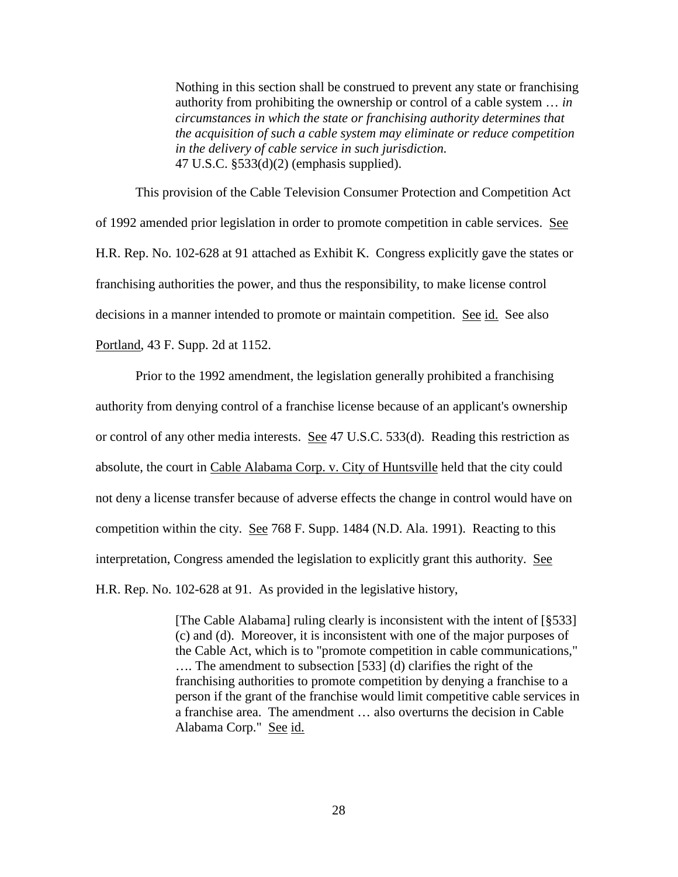Nothing in this section shall be construed to prevent any state or franchising authority from prohibiting the ownership or control of a cable system … *in circumstances in which the state or franchising authority determines that the acquisition of such a cable system may eliminate or reduce competition in the delivery of cable service in such jurisdiction.* 47 U.S.C. §533(d)(2) (emphasis supplied).

This provision of the Cable Television Consumer Protection and Competition Act of 1992 amended prior legislation in order to promote competition in cable services. See H.R. Rep. No. 102-628 at 91 attached as Exhibit K. Congress explicitly gave the states or franchising authorities the power, and thus the responsibility, to make license control decisions in a manner intended to promote or maintain competition. See id. See also Portland, 43 F. Supp. 2d at 1152.

Prior to the 1992 amendment, the legislation generally prohibited a franchising authority from denying control of a franchise license because of an applicant's ownership or control of any other media interests. See 47 U.S.C. 533(d). Reading this restriction as absolute, the court in Cable Alabama Corp. v. City of Huntsville held that the city could not deny a license transfer because of adverse effects the change in control would have on competition within the city. See 768 F. Supp. 1484 (N.D. Ala. 1991). Reacting to this interpretation, Congress amended the legislation to explicitly grant this authority. See H.R. Rep. No. 102-628 at 91. As provided in the legislative history,

> [The Cable Alabama] ruling clearly is inconsistent with the intent of [§533] (c) and (d). Moreover, it is inconsistent with one of the major purposes of the Cable Act, which is to "promote competition in cable communications," .... The amendment to subsection [533] (d) clarifies the right of the franchising authorities to promote competition by denying a franchise to a person if the grant of the franchise would limit competitive cable services in a franchise area. The amendment … also overturns the decision in Cable Alabama Corp." See id.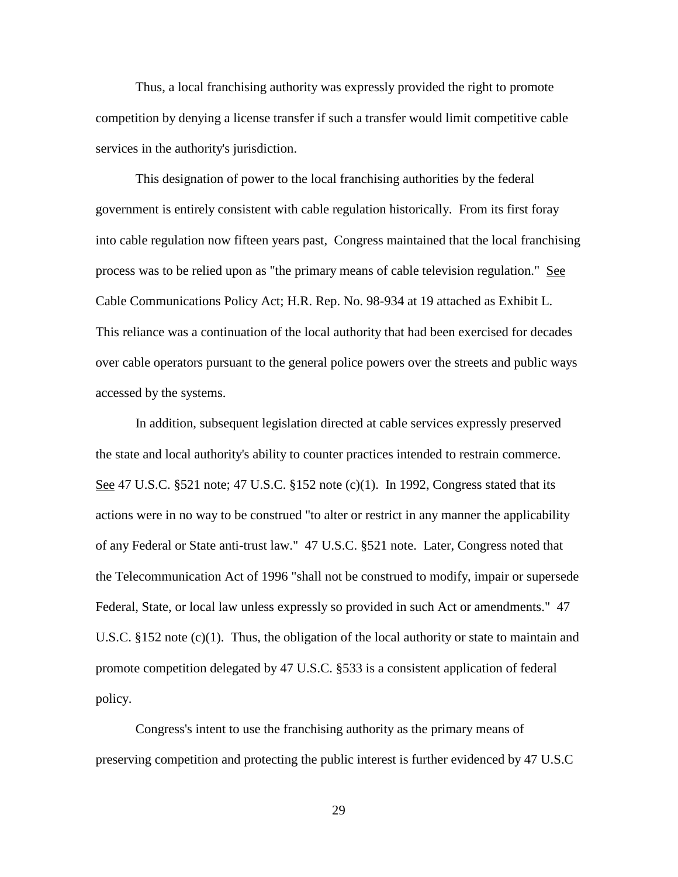Thus, a local franchising authority was expressly provided the right to promote competition by denying a license transfer if such a transfer would limit competitive cable services in the authority's jurisdiction.

This designation of power to the local franchising authorities by the federal government is entirely consistent with cable regulation historically. From its first foray into cable regulation now fifteen years past, Congress maintained that the local franchising process was to be relied upon as "the primary means of cable television regulation." See Cable Communications Policy Act; H.R. Rep. No. 98-934 at 19 attached as Exhibit L. This reliance was a continuation of the local authority that had been exercised for decades over cable operators pursuant to the general police powers over the streets and public ways accessed by the systems.

In addition, subsequent legislation directed at cable services expressly preserved the state and local authority's ability to counter practices intended to restrain commerce. See 47 U.S.C. §521 note; 47 U.S.C. §152 note (c)(1). In 1992, Congress stated that its actions were in no way to be construed "to alter or restrict in any manner the applicability of any Federal or State anti-trust law." 47 U.S.C. §521 note. Later, Congress noted that the Telecommunication Act of 1996 "shall not be construed to modify, impair or supersede Federal, State, or local law unless expressly so provided in such Act or amendments." 47 U.S.C. §152 note (c)(1). Thus, the obligation of the local authority or state to maintain and promote competition delegated by 47 U.S.C. §533 is a consistent application of federal policy.

Congress's intent to use the franchising authority as the primary means of preserving competition and protecting the public interest is further evidenced by 47 U.S.C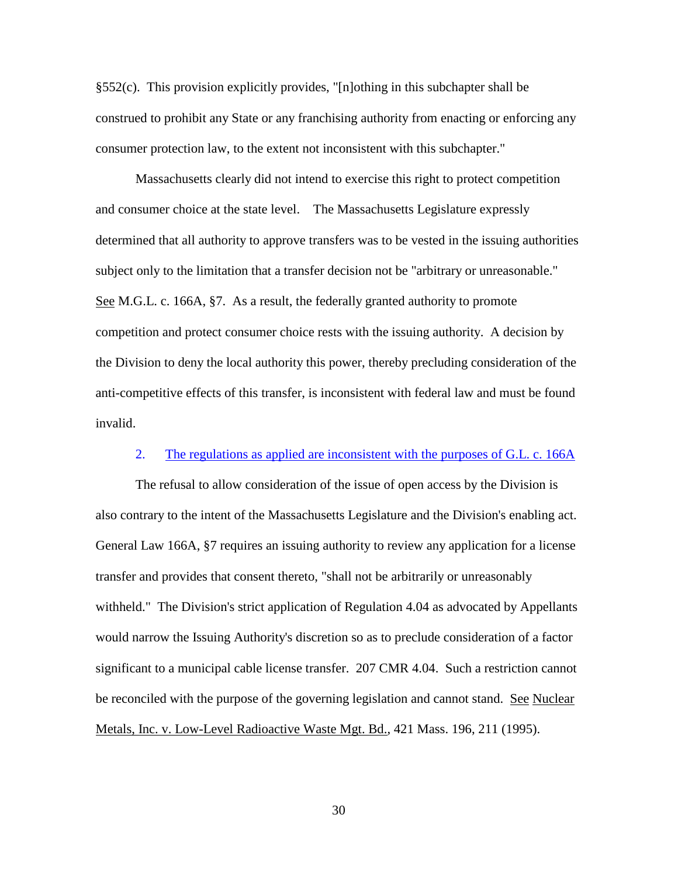§552(c). This provision explicitly provides, "[n]othing in this subchapter shall be construed to prohibit any State or any franchising authority from enacting or enforcing any consumer protection law, to the extent not inconsistent with this subchapter."

Massachusetts clearly did not intend to exercise this right to protect competition and consumer choice at the state level. The Massachusetts Legislature expressly determined that all authority to approve transfers was to be vested in the issuing authorities subject only to the limitation that a transfer decision not be "arbitrary or unreasonable." See M.G.L. c. 166A, §7. As a result, the federally granted authority to promote competition and protect consumer choice rests with the issuing authority. A decision by the Division to deny the local authority this power, thereby precluding consideration of the anti-competitive effects of this transfer, is inconsistent with federal law and must be found invalid.

### 2. The regulations as applied are inconsistent with the purposes of G.L. c. 166A

The refusal to allow consideration of the issue of open access by the Division is also contrary to the intent of the Massachusetts Legislature and the Division's enabling act. General Law 166A, §7 requires an issuing authority to review any application for a license transfer and provides that consent thereto, "shall not be arbitrarily or unreasonably withheld." The Division's strict application of Regulation 4.04 as advocated by Appellants would narrow the Issuing Authority's discretion so as to preclude consideration of a factor significant to a municipal cable license transfer. 207 CMR 4.04. Such a restriction cannot be reconciled with the purpose of the governing legislation and cannot stand. See Nuclear Metals, Inc. v. Low-Level Radioactive Waste Mgt. Bd., 421 Mass. 196, 211 (1995).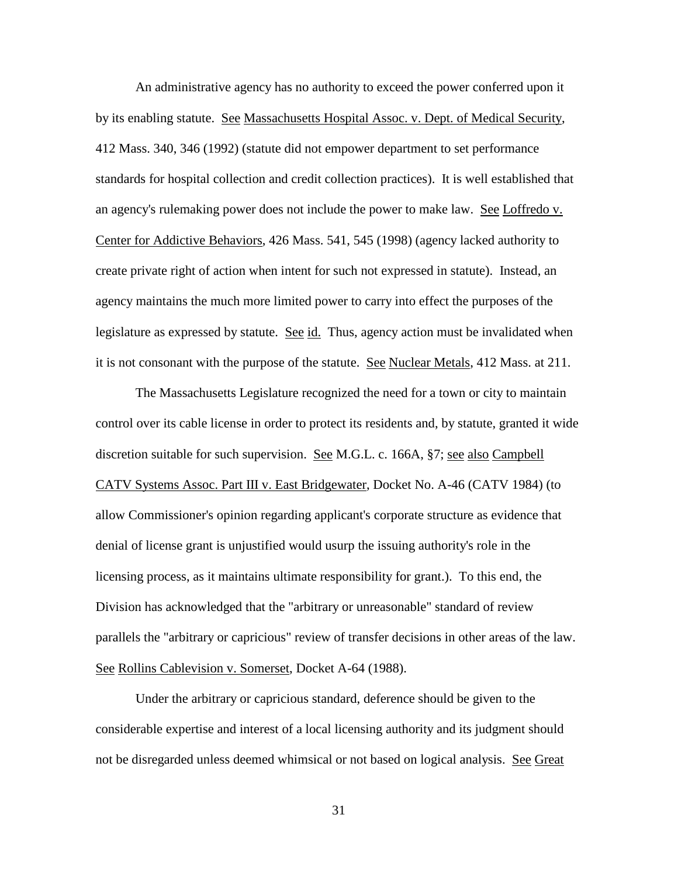An administrative agency has no authority to exceed the power conferred upon it by its enabling statute. See Massachusetts Hospital Assoc. v. Dept. of Medical Security, 412 Mass. 340, 346 (1992) (statute did not empower department to set performance standards for hospital collection and credit collection practices). It is well established that an agency's rulemaking power does not include the power to make law. See Loffredo v. Center for Addictive Behaviors, 426 Mass. 541, 545 (1998) (agency lacked authority to create private right of action when intent for such not expressed in statute). Instead, an agency maintains the much more limited power to carry into effect the purposes of the legislature as expressed by statute. See id. Thus, agency action must be invalidated when it is not consonant with the purpose of the statute. See Nuclear Metals, 412 Mass. at 211.

The Massachusetts Legislature recognized the need for a town or city to maintain control over its cable license in order to protect its residents and, by statute, granted it wide discretion suitable for such supervision. See M.G.L. c. 166A, §7; <u>see also Campbell</u> CATV Systems Assoc. Part III v. East Bridgewater, Docket No. A-46 (CATV 1984) (to allow Commissioner's opinion regarding applicant's corporate structure as evidence that denial of license grant is unjustified would usurp the issuing authority's role in the licensing process, as it maintains ultimate responsibility for grant.). To this end, the Division has acknowledged that the "arbitrary or unreasonable" standard of review parallels the "arbitrary or capricious" review of transfer decisions in other areas of the law. See Rollins Cablevision v. Somerset, Docket A-64 (1988).

Under the arbitrary or capricious standard, deference should be given to the considerable expertise and interest of a local licensing authority and its judgment should not be disregarded unless deemed whimsical or not based on logical analysis. See Great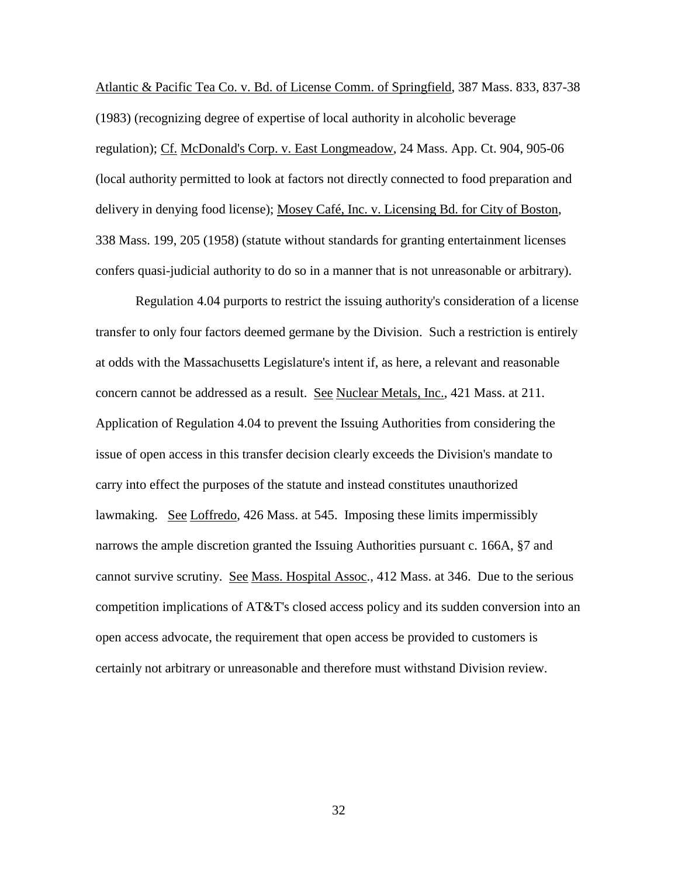Atlantic & Pacific Tea Co. v. Bd. of License Comm. of Springfield, 387 Mass. 833, 837-38 (1983) (recognizing degree of expertise of local authority in alcoholic beverage regulation); Cf. McDonald's Corp. v. East Longmeadow, 24 Mass. App. Ct. 904, 905-06 (local authority permitted to look at factors not directly connected to food preparation and delivery in denying food license); Mosey Café, Inc. v. Licensing Bd. for City of Boston, 338 Mass. 199, 205 (1958) (statute without standards for granting entertainment licenses confers quasi-judicial authority to do so in a manner that is not unreasonable or arbitrary).

Regulation 4.04 purports to restrict the issuing authority's consideration of a license transfer to only four factors deemed germane by the Division. Such a restriction is entirely at odds with the Massachusetts Legislature's intent if, as here, a relevant and reasonable concern cannot be addressed as a result. See Nuclear Metals, Inc., 421 Mass. at 211. Application of Regulation 4.04 to prevent the Issuing Authorities from considering the issue of open access in this transfer decision clearly exceeds the Division's mandate to carry into effect the purposes of the statute and instead constitutes unauthorized lawmaking. See Loffredo, 426 Mass. at 545. Imposing these limits impermissibly narrows the ample discretion granted the Issuing Authorities pursuant c. 166A, §7 and cannot survive scrutiny. See Mass. Hospital Assoc., 412 Mass. at 346. Due to the serious competition implications of AT&T's closed access policy and its sudden conversion into an open access advocate, the requirement that open access be provided to customers is certainly not arbitrary or unreasonable and therefore must withstand Division review.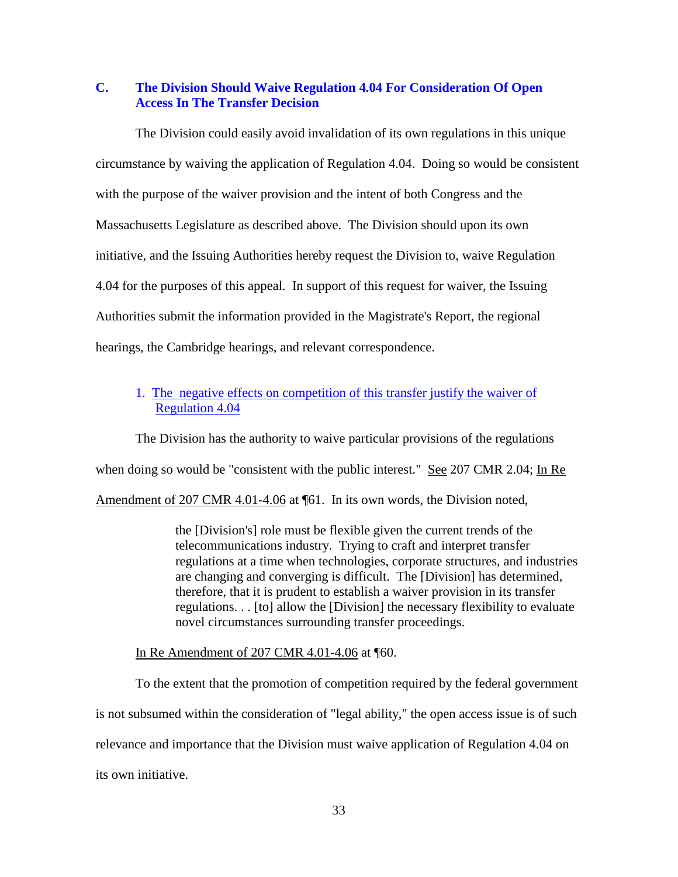## **C. The Division Should Waive Regulation 4.04 For Consideration Of Open Access In The Transfer Decision**

The Division could easily avoid invalidation of its own regulations in this unique circumstance by waiving the application of Regulation 4.04. Doing so would be consistent with the purpose of the waiver provision and the intent of both Congress and the Massachusetts Legislature as described above. The Division should upon its own initiative, and the Issuing Authorities hereby request the Division to, waive Regulation 4.04 for the purposes of this appeal. In support of this request for waiver, the Issuing Authorities submit the information provided in the Magistrate's Report, the regional hearings, the Cambridge hearings, and relevant correspondence.

## 1. The negative effects on competition of this transfer justify the waiver of Regulation 4.04

The Division has the authority to waive particular provisions of the regulations when doing so would be "consistent with the public interest." See 207 CMR 2.04; In Re

Amendment of 207 CMR 4.01-4.06 at ¶61. In its own words, the Division noted,

the [Division's] role must be flexible given the current trends of the telecommunications industry. Trying to craft and interpret transfer regulations at a time when technologies, corporate structures, and industries are changing and converging is difficult. The [Division] has determined, therefore, that it is prudent to establish a waiver provision in its transfer regulations. . . [to] allow the [Division] the necessary flexibility to evaluate novel circumstances surrounding transfer proceedings.

In Re Amendment of 207 CMR 4.01-4.06 at ¶60.

To the extent that the promotion of competition required by the federal government is not subsumed within the consideration of "legal ability," the open access issue is of such relevance and importance that the Division must waive application of Regulation 4.04 on its own initiative.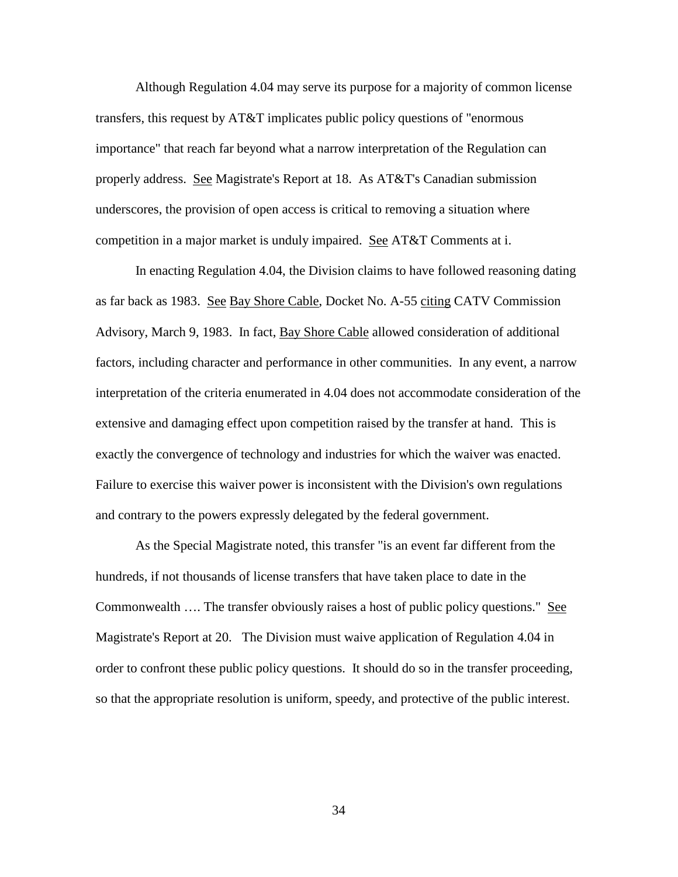Although Regulation 4.04 may serve its purpose for a majority of common license transfers, this request by AT&T implicates public policy questions of "enormous importance" that reach far beyond what a narrow interpretation of the Regulation can properly address. See Magistrate's Report at 18. As AT&T's Canadian submission underscores, the provision of open access is critical to removing a situation where competition in a major market is unduly impaired. See AT&T Comments at i.

In enacting Regulation 4.04, the Division claims to have followed reasoning dating as far back as 1983. See Bay Shore Cable, Docket No. A-55 citing CATV Commission Advisory, March 9, 1983. In fact, Bay Shore Cable allowed consideration of additional factors, including character and performance in other communities. In any event, a narrow interpretation of the criteria enumerated in 4.04 does not accommodate consideration of the extensive and damaging effect upon competition raised by the transfer at hand. This is exactly the convergence of technology and industries for which the waiver was enacted. Failure to exercise this waiver power is inconsistent with the Division's own regulations and contrary to the powers expressly delegated by the federal government.

As the Special Magistrate noted, this transfer "is an event far different from the hundreds, if not thousands of license transfers that have taken place to date in the Commonwealth .... The transfer obviously raises a host of public policy questions." See Magistrate's Report at 20. The Division must waive application of Regulation 4.04 in order to confront these public policy questions. It should do so in the transfer proceeding, so that the appropriate resolution is uniform, speedy, and protective of the public interest.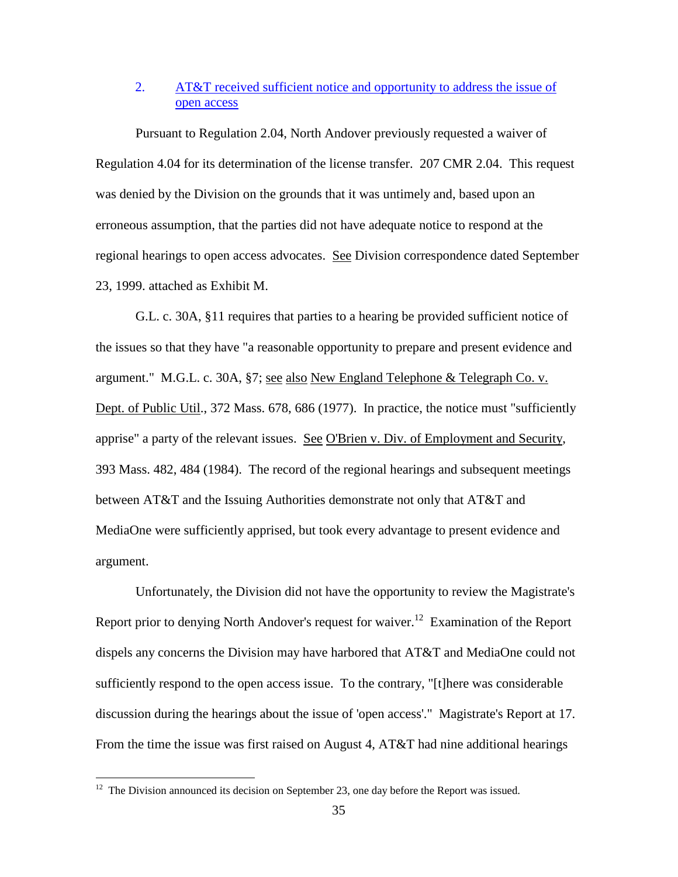# 2. AT&T received sufficient notice and opportunity to address the issue of open access

Pursuant to Regulation 2.04, North Andover previously requested a waiver of Regulation 4.04 for its determination of the license transfer. 207 CMR 2.04. This request was denied by the Division on the grounds that it was untimely and, based upon an erroneous assumption, that the parties did not have adequate notice to respond at the regional hearings to open access advocates. See Division correspondence dated September 23, 1999. attached as Exhibit M.

G.L. c. 30A, §11 requires that parties to a hearing be provided sufficient notice of the issues so that they have "a reasonable opportunity to prepare and present evidence and argument." M.G.L. c. 30A, §7; see also New England Telephone & Telegraph Co. v. Dept. of Public Util., 372 Mass. 678, 686 (1977). In practice, the notice must "sufficiently apprise" a party of the relevant issues. See O'Brien v. Div. of Employment and Security, 393 Mass. 482, 484 (1984). The record of the regional hearings and subsequent meetings between AT&T and the Issuing Authorities demonstrate not only that AT&T and MediaOne were sufficiently apprised, but took every advantage to present evidence and argument.

Unfortunately, the Division did not have the opportunity to review the Magistrate's Report prior to denying North Andover's request for waiver.<sup>12</sup> Examination of the Report dispels any concerns the Division may have harbored that AT&T and MediaOne could not sufficiently respond to the open access issue. To the contrary, "[t]here was considerable discussion during the hearings about the issue of 'open access'." Magistrate's Report at 17. From the time the issue was first raised on August 4, AT&T had nine additional hearings

 $12$  The Division announced its decision on September 23, one day before the Report was issued.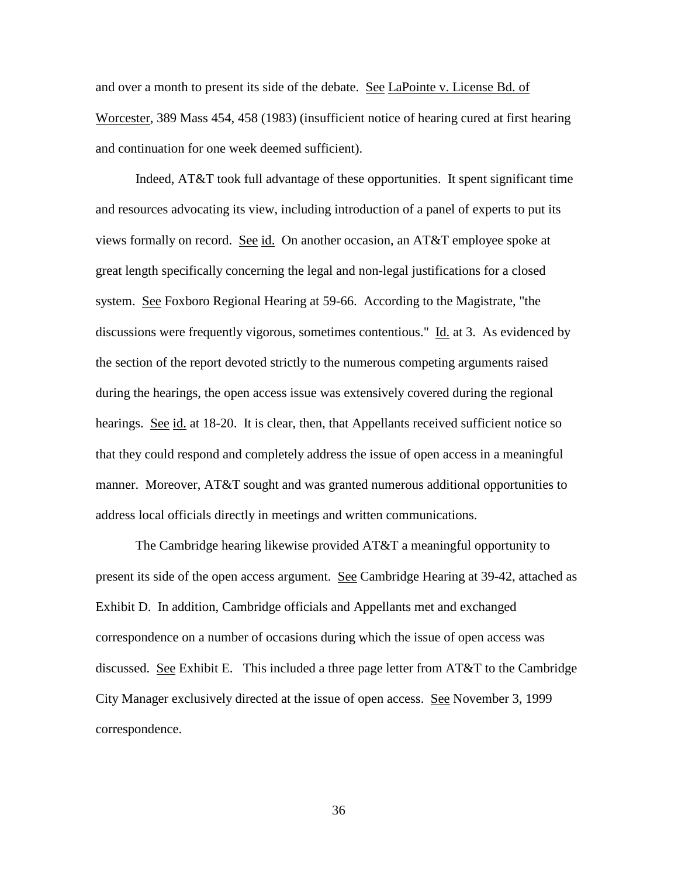and over a month to present its side of the debate. See LaPointe v. License Bd. of Worcester, 389 Mass 454, 458 (1983) (insufficient notice of hearing cured at first hearing and continuation for one week deemed sufficient).

Indeed, AT&T took full advantage of these opportunities. It spent significant time and resources advocating its view, including introduction of a panel of experts to put its views formally on record. See id. On another occasion, an AT&T employee spoke at great length specifically concerning the legal and non-legal justifications for a closed system. See Foxboro Regional Hearing at 59-66. According to the Magistrate, "the discussions were frequently vigorous, sometimes contentious." Id. at 3. As evidenced by the section of the report devoted strictly to the numerous competing arguments raised during the hearings, the open access issue was extensively covered during the regional hearings. See id. at 18-20. It is clear, then, that Appellants received sufficient notice so that they could respond and completely address the issue of open access in a meaningful manner. Moreover, AT&T sought and was granted numerous additional opportunities to address local officials directly in meetings and written communications.

The Cambridge hearing likewise provided AT&T a meaningful opportunity to present its side of the open access argument. See Cambridge Hearing at 39-42, attached as Exhibit D. In addition, Cambridge officials and Appellants met and exchanged correspondence on a number of occasions during which the issue of open access was discussed. See Exhibit E. This included a three page letter from AT&T to the Cambridge City Manager exclusively directed at the issue of open access. See November 3, 1999 correspondence.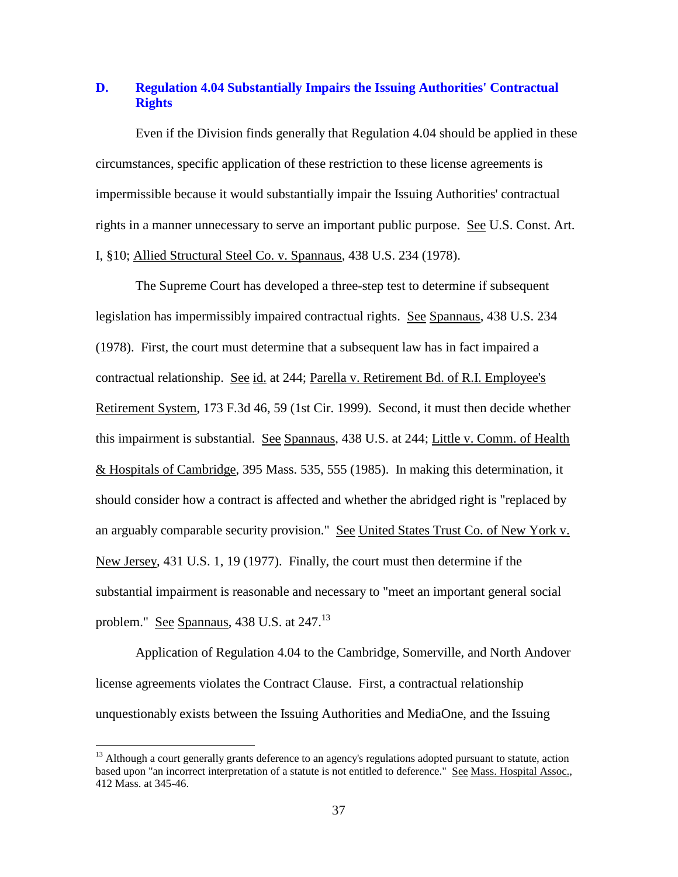## **D. Regulation 4.04 Substantially Impairs the Issuing Authorities' Contractual Rights**

Even if the Division finds generally that Regulation 4.04 should be applied in these circumstances, specific application of these restriction to these license agreements is impermissible because it would substantially impair the Issuing Authorities' contractual rights in a manner unnecessary to serve an important public purpose. See U.S. Const. Art. I, §10; Allied Structural Steel Co. v. Spannaus, 438 U.S. 234 (1978).

The Supreme Court has developed a three-step test to determine if subsequent legislation has impermissibly impaired contractual rights. See Spannaus, 438 U.S. 234 (1978). First, the court must determine that a subsequent law has in fact impaired a contractual relationship. See id. at 244; Parella v. Retirement Bd. of R.I. Employee's Retirement System, 173 F.3d 46, 59 (1st Cir. 1999). Second, it must then decide whether this impairment is substantial. See Spannaus, 438 U.S. at 244; Little v. Comm. of Health & Hospitals of Cambridge, 395 Mass. 535, 555 (1985). In making this determination, it should consider how a contract is affected and whether the abridged right is "replaced by an arguably comparable security provision." See United States Trust Co. of New York v. New Jersey, 431 U.S. 1, 19 (1977). Finally, the court must then determine if the substantial impairment is reasonable and necessary to "meet an important general social problem." See Spannaus,  $438$  U.S. at  $247$ .<sup>13</sup>

Application of Regulation 4.04 to the Cambridge, Somerville, and North Andover license agreements violates the Contract Clause. First, a contractual relationship unquestionably exists between the Issuing Authorities and MediaOne, and the Issuing

<sup>&</sup>lt;sup>13</sup> Although a court generally grants deference to an agency's regulations adopted pursuant to statute, action based upon "an incorrect interpretation of a statute is not entitled to deference." See Mass. Hospital Assoc., 412 Mass. at 345-46.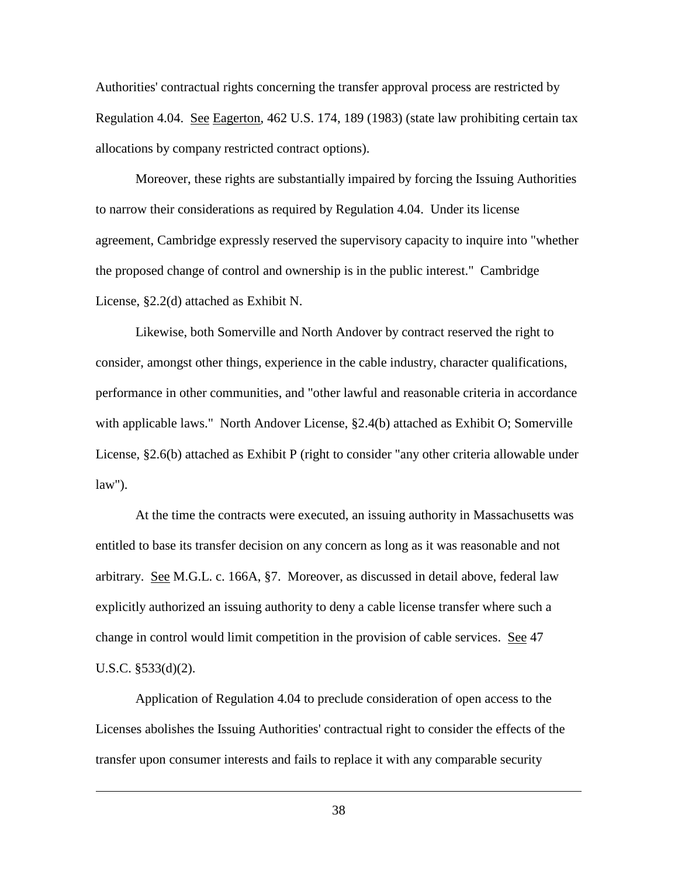Authorities' contractual rights concerning the transfer approval process are restricted by Regulation 4.04. See Eagerton, 462 U.S. 174, 189 (1983) (state law prohibiting certain tax allocations by company restricted contract options).

Moreover, these rights are substantially impaired by forcing the Issuing Authorities to narrow their considerations as required by Regulation 4.04. Under its license agreement, Cambridge expressly reserved the supervisory capacity to inquire into "whether the proposed change of control and ownership is in the public interest." Cambridge License, §2.2(d) attached as Exhibit N.

Likewise, both Somerville and North Andover by contract reserved the right to consider, amongst other things, experience in the cable industry, character qualifications, performance in other communities, and "other lawful and reasonable criteria in accordance with applicable laws." North Andover License, §2.4(b) attached as Exhibit O; Somerville License, §2.6(b) attached as Exhibit P (right to consider "any other criteria allowable under law").

At the time the contracts were executed, an issuing authority in Massachusetts was entitled to base its transfer decision on any concern as long as it was reasonable and not arbitrary. See M.G.L. c. 166A, §7. Moreover, as discussed in detail above, federal law explicitly authorized an issuing authority to deny a cable license transfer where such a change in control would limit competition in the provision of cable services. See 47 U.S.C. §533(d)(2).

Application of Regulation 4.04 to preclude consideration of open access to the Licenses abolishes the Issuing Authorities' contractual right to consider the effects of the transfer upon consumer interests and fails to replace it with any comparable security

 $\overline{a}$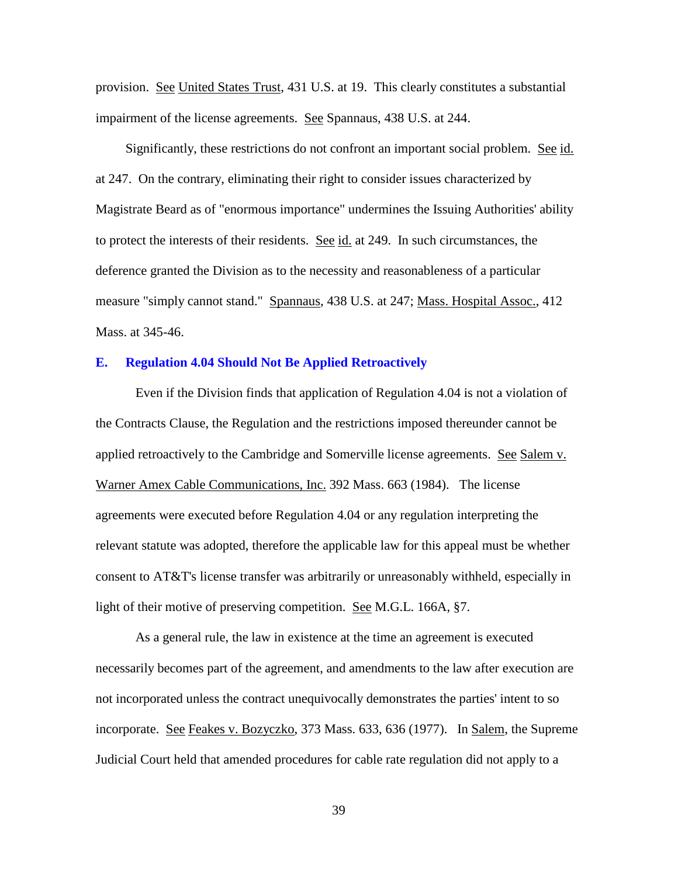provision. See United States Trust, 431 U.S. at 19. This clearly constitutes a substantial impairment of the license agreements. See Spannaus, 438 U.S. at 244.

Significantly, these restrictions do not confront an important social problem. See id. at 247. On the contrary, eliminating their right to consider issues characterized by Magistrate Beard as of "enormous importance" undermines the Issuing Authorities' ability to protect the interests of their residents. See id. at 249. In such circumstances, the deference granted the Division as to the necessity and reasonableness of a particular measure "simply cannot stand." Spannaus, 438 U.S. at 247; Mass. Hospital Assoc., 412 Mass. at 345-46.

### **E. Regulation 4.04 Should Not Be Applied Retroactively**

Even if the Division finds that application of Regulation 4.04 is not a violation of the Contracts Clause, the Regulation and the restrictions imposed thereunder cannot be applied retroactively to the Cambridge and Somerville license agreements. See Salem v. Warner Amex Cable Communications, Inc. 392 Mass. 663 (1984). The license agreements were executed before Regulation 4.04 or any regulation interpreting the relevant statute was adopted, therefore the applicable law for this appeal must be whether consent to AT&T's license transfer was arbitrarily or unreasonably withheld, especially in light of their motive of preserving competition. <u>See</u> M.G.L. 166A, §7.

As a general rule, the law in existence at the time an agreement is executed necessarily becomes part of the agreement, and amendments to the law after execution are not incorporated unless the contract unequivocally demonstrates the parties' intent to so incorporate. See Feakes v. Bozyczko, 373 Mass. 633, 636 (1977). In Salem, the Supreme Judicial Court held that amended procedures for cable rate regulation did not apply to a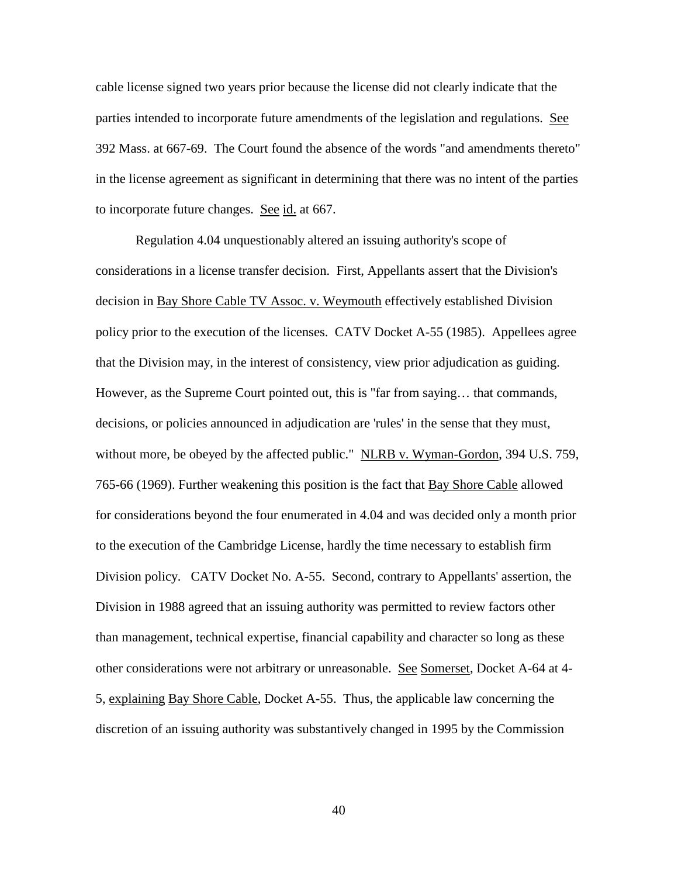cable license signed two years prior because the license did not clearly indicate that the parties intended to incorporate future amendments of the legislation and regulations. See 392 Mass. at 667-69. The Court found the absence of the words "and amendments thereto" in the license agreement as significant in determining that there was no intent of the parties to incorporate future changes. See id. at 667.

Regulation 4.04 unquestionably altered an issuing authority's scope of considerations in a license transfer decision. First, Appellants assert that the Division's decision in Bay Shore Cable TV Assoc. v. Weymouth effectively established Division policy prior to the execution of the licenses. CATV Docket A-55 (1985). Appellees agree that the Division may, in the interest of consistency, view prior adjudication as guiding. However, as the Supreme Court pointed out, this is "far from saying… that commands, decisions, or policies announced in adjudication are 'rules' in the sense that they must, without more, be obeyed by the affected public." NLRB v. Wyman-Gordon, 394 U.S. 759, 765-66 (1969). Further weakening this position is the fact that Bay Shore Cable allowed for considerations beyond the four enumerated in 4.04 and was decided only a month prior to the execution of the Cambridge License, hardly the time necessary to establish firm Division policy. CATV Docket No. A-55. Second, contrary to Appellants' assertion, the Division in 1988 agreed that an issuing authority was permitted to review factors other than management, technical expertise, financial capability and character so long as these other considerations were not arbitrary or unreasonable. See Somerset, Docket A-64 at 4- 5, explaining Bay Shore Cable, Docket A-55. Thus, the applicable law concerning the discretion of an issuing authority was substantively changed in 1995 by the Commission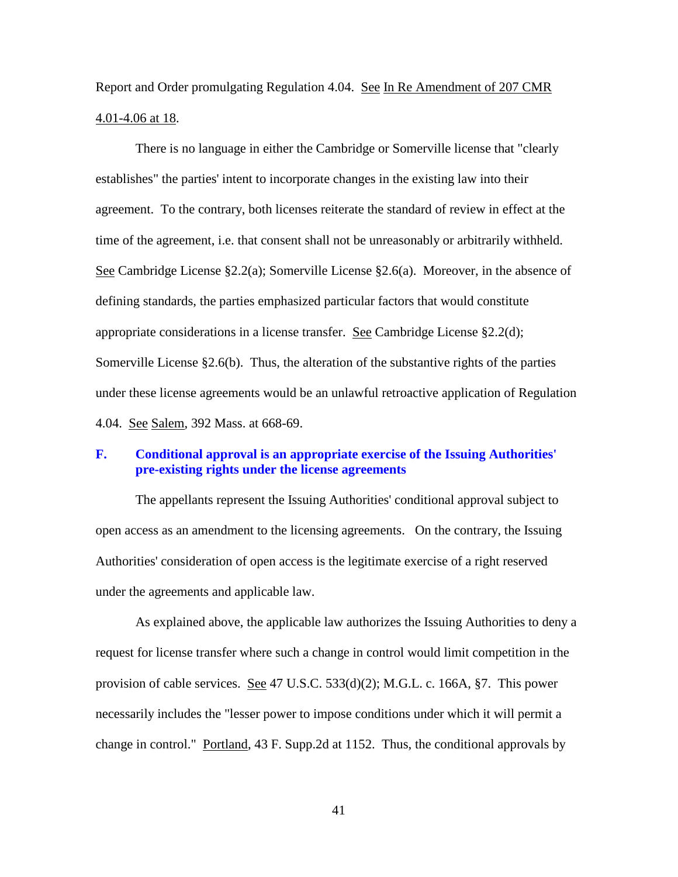Report and Order promulgating Regulation 4.04. See In Re Amendment of 207 CMR 4.01-4.06 at 18.

There is no language in either the Cambridge or Somerville license that "clearly establishes" the parties' intent to incorporate changes in the existing law into their agreement. To the contrary, both licenses reiterate the standard of review in effect at the time of the agreement, i.e. that consent shall not be unreasonably or arbitrarily withheld. See Cambridge License §2.2(a); Somerville License §2.6(a). Moreover, in the absence of defining standards, the parties emphasized particular factors that would constitute appropriate considerations in a license transfer. See Cambridge License §2.2(d); Somerville License §2.6(b). Thus, the alteration of the substantive rights of the parties under these license agreements would be an unlawful retroactive application of Regulation 4.04. See Salem, 392 Mass. at 668-69.

### **F. Conditional approval is an appropriate exercise of the Issuing Authorities' pre-existing rights under the license agreements**

The appellants represent the Issuing Authorities' conditional approval subject to open access as an amendment to the licensing agreements. On the contrary, the Issuing Authorities' consideration of open access is the legitimate exercise of a right reserved under the agreements and applicable law.

As explained above, the applicable law authorizes the Issuing Authorities to deny a request for license transfer where such a change in control would limit competition in the provision of cable services. See 47 U.S.C. 533(d)(2); M.G.L. c. 166A, §7. This power necessarily includes the "lesser power to impose conditions under which it will permit a change in control." Portland, 43 F. Supp.2d at 1152. Thus, the conditional approvals by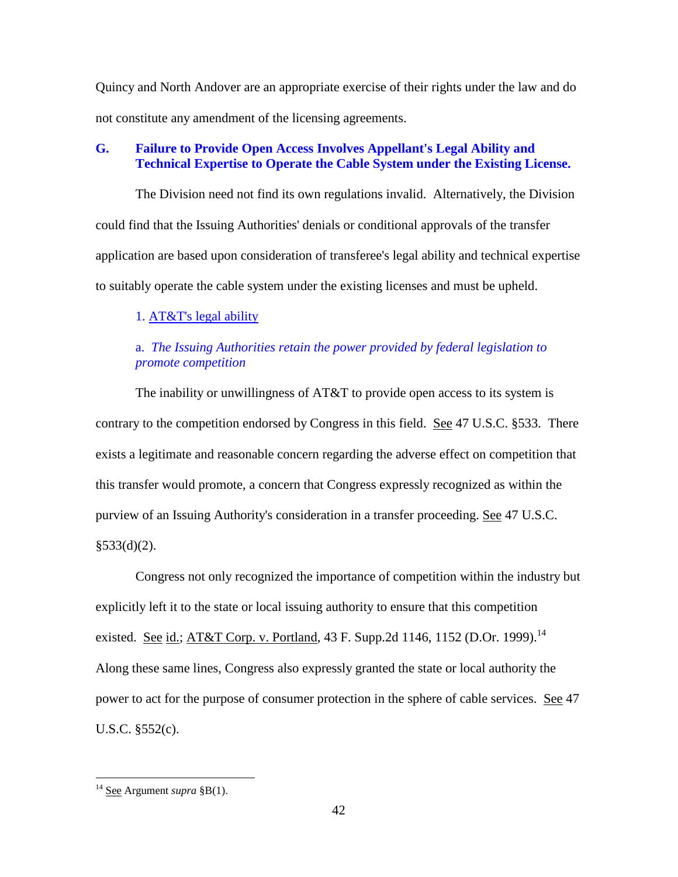Quincy and North Andover are an appropriate exercise of their rights under the law and do not constitute any amendment of the licensing agreements.

# **G. Failure to Provide Open Access Involves Appellant's Legal Ability and Technical Expertise to Operate the Cable System under the Existing License.**

The Division need not find its own regulations invalid. Alternatively, the Division could find that the Issuing Authorities' denials or conditional approvals of the transfer application are based upon consideration of transferee's legal ability and technical expertise to suitably operate the cable system under the existing licenses and must be upheld.

# 1. AT&T's legal ability

# a. *The Issuing Authorities retain the power provided by federal legislation to promote competition*

The inability or unwillingness of AT&T to provide open access to its system is contrary to the competition endorsed by Congress in this field. See 47 U.S.C. §533. There exists a legitimate and reasonable concern regarding the adverse effect on competition that this transfer would promote, a concern that Congress expressly recognized as within the purview of an Issuing Authority's consideration in a transfer proceeding. See 47 U.S.C.  $§533(d)(2)$ .

Congress not only recognized the importance of competition within the industry but explicitly left it to the state or local issuing authority to ensure that this competition existed. <u>See id.; AT&T Corp. v. Portland</u>, 43 F. Supp.2d 1146, 1152 (D.Or. 1999).<sup>14</sup> Along these same lines, Congress also expressly granted the state or local authority the power to act for the purpose of consumer protection in the sphere of cable services. See 47 U.S.C. §552(c).

<sup>14</sup> See Argument *supra* §B(1).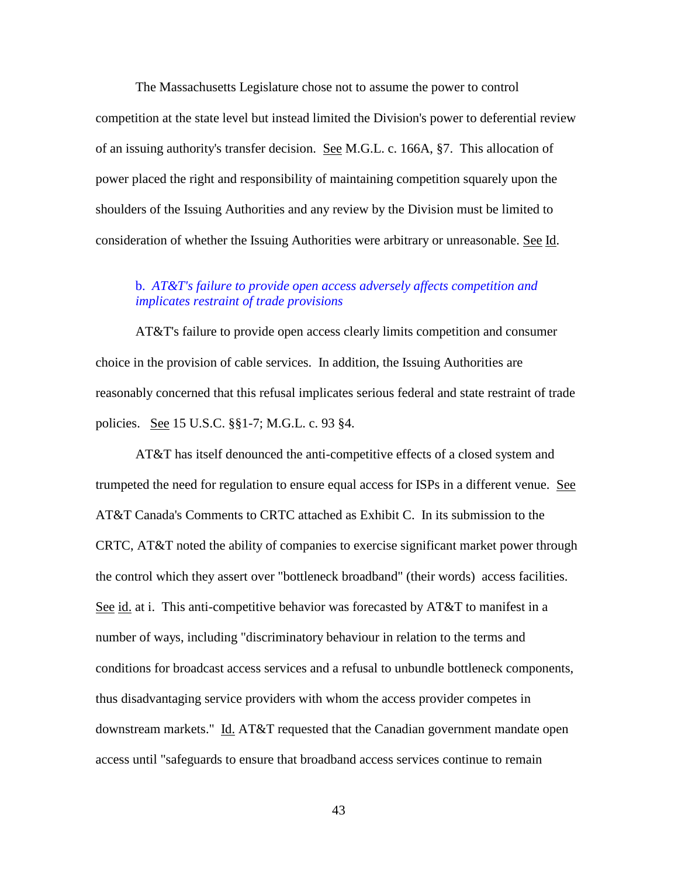The Massachusetts Legislature chose not to assume the power to control competition at the state level but instead limited the Division's power to deferential review of an issuing authority's transfer decision. See M.G.L. c. 166A, §7. This allocation of power placed the right and responsibility of maintaining competition squarely upon the shoulders of the Issuing Authorities and any review by the Division must be limited to consideration of whether the Issuing Authorities were arbitrary or unreasonable. See Id.

## b. *AT&T's failure to provide open access adversely affects competition and implicates restraint of trade provisions*

AT&T's failure to provide open access clearly limits competition and consumer choice in the provision of cable services. In addition, the Issuing Authorities are reasonably concerned that this refusal implicates serious federal and state restraint of trade policies. See 15 U.S.C. §§1-7; M.G.L. c. 93 §4.

AT&T has itself denounced the anti-competitive effects of a closed system and trumpeted the need for regulation to ensure equal access for ISPs in a different venue. See AT&T Canada's Comments to CRTC attached as Exhibit C. In its submission to the CRTC, AT&T noted the ability of companies to exercise significant market power through the control which they assert over "bottleneck broadband" (their words) access facilities. See id. at i. This anti-competitive behavior was forecasted by AT&T to manifest in a number of ways, including "discriminatory behaviour in relation to the terms and conditions for broadcast access services and a refusal to unbundle bottleneck components, thus disadvantaging service providers with whom the access provider competes in downstream markets." Id. AT&T requested that the Canadian government mandate open access until "safeguards to ensure that broadband access services continue to remain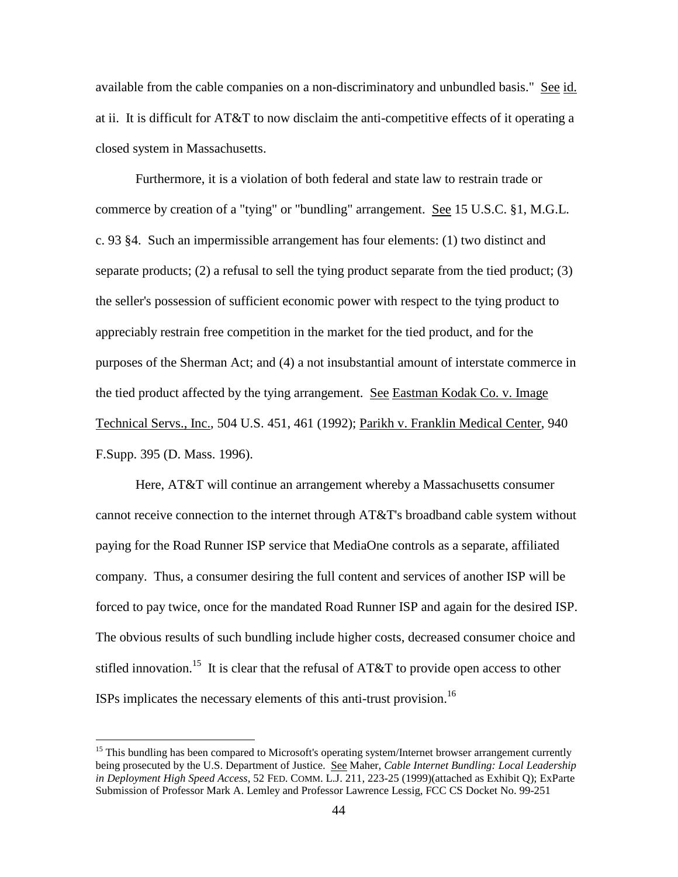available from the cable companies on a non-discriminatory and unbundled basis." See id. at ii. It is difficult for AT&T to now disclaim the anti-competitive effects of it operating a closed system in Massachusetts.

Furthermore, it is a violation of both federal and state law to restrain trade or commerce by creation of a "tying" or "bundling" arrangement. See 15 U.S.C. §1, M.G.L. c. 93 §4. Such an impermissible arrangement has four elements: (1) two distinct and separate products; (2) a refusal to sell the tying product separate from the tied product; (3) the seller's possession of sufficient economic power with respect to the tying product to appreciably restrain free competition in the market for the tied product, and for the purposes of the Sherman Act; and (4) a not insubstantial amount of interstate commerce in the tied product affected by the tying arrangement. See Eastman Kodak Co. v. Image Technical Servs., Inc., 504 U.S. 451, 461 (1992); Parikh v. Franklin Medical Center, 940 F.Supp. 395 (D. Mass. 1996).

Here, AT&T will continue an arrangement whereby a Massachusetts consumer cannot receive connection to the internet through AT&T's broadband cable system without paying for the Road Runner ISP service that MediaOne controls as a separate, affiliated company. Thus, a consumer desiring the full content and services of another ISP will be forced to pay twice, once for the mandated Road Runner ISP and again for the desired ISP. The obvious results of such bundling include higher costs, decreased consumer choice and stifled innovation.<sup>15</sup> It is clear that the refusal of AT&T to provide open access to other ISPs implicates the necessary elements of this anti-trust provision.<sup>16</sup>

<sup>&</sup>lt;sup>15</sup> This bundling has been compared to Microsoft's operating system/Internet browser arrangement currently being prosecuted by the U.S. Department of Justice. See Maher, *Cable Internet Bundling: Local Leadership in Deployment High Speed Access*, 52 FED. COMM. L.J. 211, 223-25 (1999)(attached as Exhibit Q); ExParte Submission of Professor Mark A. Lemley and Professor Lawrence Lessig, FCC CS Docket No. 99-251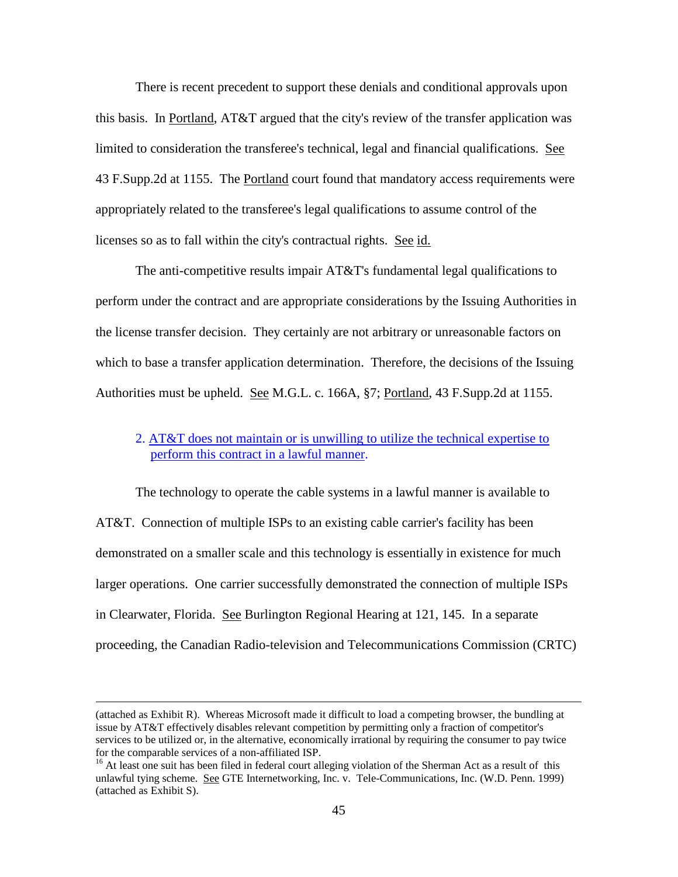There is recent precedent to support these denials and conditional approvals upon this basis. In Portland, AT&T argued that the city's review of the transfer application was limited to consideration the transferee's technical, legal and financial qualifications. See 43 F.Supp.2d at 1155. The Portland court found that mandatory access requirements were appropriately related to the transferee's legal qualifications to assume control of the licenses so as to fall within the city's contractual rights. See id.

The anti-competitive results impair AT&T's fundamental legal qualifications to perform under the contract and are appropriate considerations by the Issuing Authorities in the license transfer decision. They certainly are not arbitrary or unreasonable factors on which to base a transfer application determination. Therefore, the decisions of the Issuing Authorities must be upheld. See M.G.L. c. 166A, §7; Portland, 43 F.Supp.2d at 1155.

## 2. AT&T does not maintain or is unwilling to utilize the technical expertise to perform this contract in a lawful manner.

The technology to operate the cable systems in a lawful manner is available to AT&T. Connection of multiple ISPs to an existing cable carrier's facility has been demonstrated on a smaller scale and this technology is essentially in existence for much larger operations. One carrier successfully demonstrated the connection of multiple ISPs in Clearwater, Florida. See Burlington Regional Hearing at 121, 145. In a separate proceeding, the Canadian Radio-television and Telecommunications Commission (CRTC)

<sup>(</sup>attached as Exhibit R). Whereas Microsoft made it difficult to load a competing browser, the bundling at issue by AT&T effectively disables relevant competition by permitting only a fraction of competitor's services to be utilized or, in the alternative, economically irrational by requiring the consumer to pay twice for the comparable services of a non-affiliated ISP.

<sup>&</sup>lt;sup>16</sup> At least one suit has been filed in federal court alleging violation of the Sherman Act as a result of this unlawful tying scheme. See GTE Internetworking, Inc. v. Tele-Communications, Inc. (W.D. Penn. 1999) (attached as Exhibit S).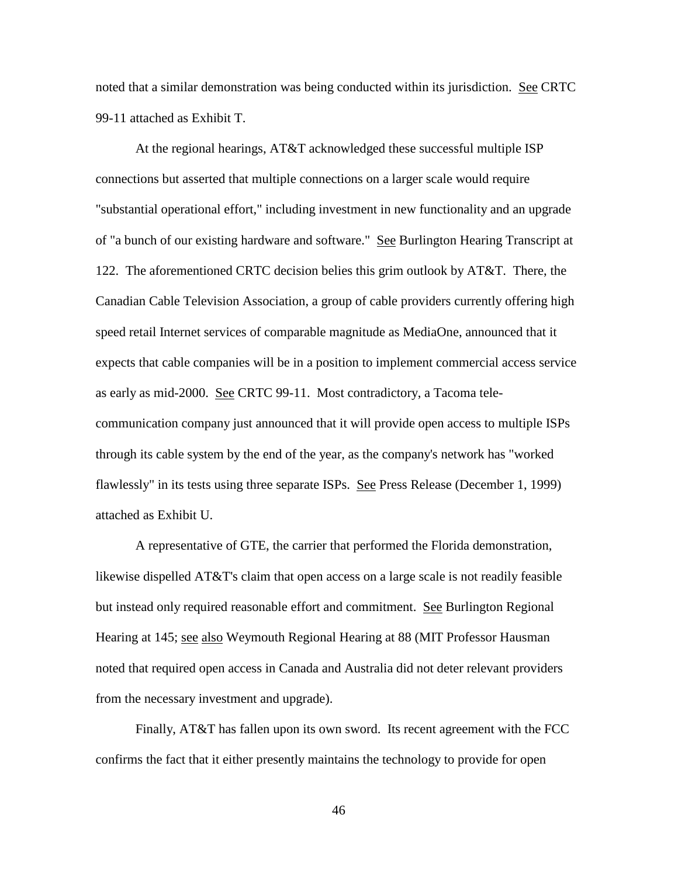noted that a similar demonstration was being conducted within its jurisdiction. See CRTC 99-11 attached as Exhibit T.

At the regional hearings, AT&T acknowledged these successful multiple ISP connections but asserted that multiple connections on a larger scale would require "substantial operational effort," including investment in new functionality and an upgrade of "a bunch of our existing hardware and software." See Burlington Hearing Transcript at 122. The aforementioned CRTC decision belies this grim outlook by AT&T. There, the Canadian Cable Television Association, a group of cable providers currently offering high speed retail Internet services of comparable magnitude as MediaOne, announced that it expects that cable companies will be in a position to implement commercial access service as early as mid-2000. See CRTC 99-11. Most contradictory, a Tacoma telecommunication company just announced that it will provide open access to multiple ISPs through its cable system by the end of the year, as the company's network has "worked flawlessly" in its tests using three separate ISPs. See Press Release (December 1, 1999) attached as Exhibit U.

A representative of GTE, the carrier that performed the Florida demonstration, likewise dispelled AT&T's claim that open access on a large scale is not readily feasible but instead only required reasonable effort and commitment. See Burlington Regional Hearing at 145; see also Weymouth Regional Hearing at 88 (MIT Professor Hausman noted that required open access in Canada and Australia did not deter relevant providers from the necessary investment and upgrade).

Finally, AT&T has fallen upon its own sword. Its recent agreement with the FCC confirms the fact that it either presently maintains the technology to provide for open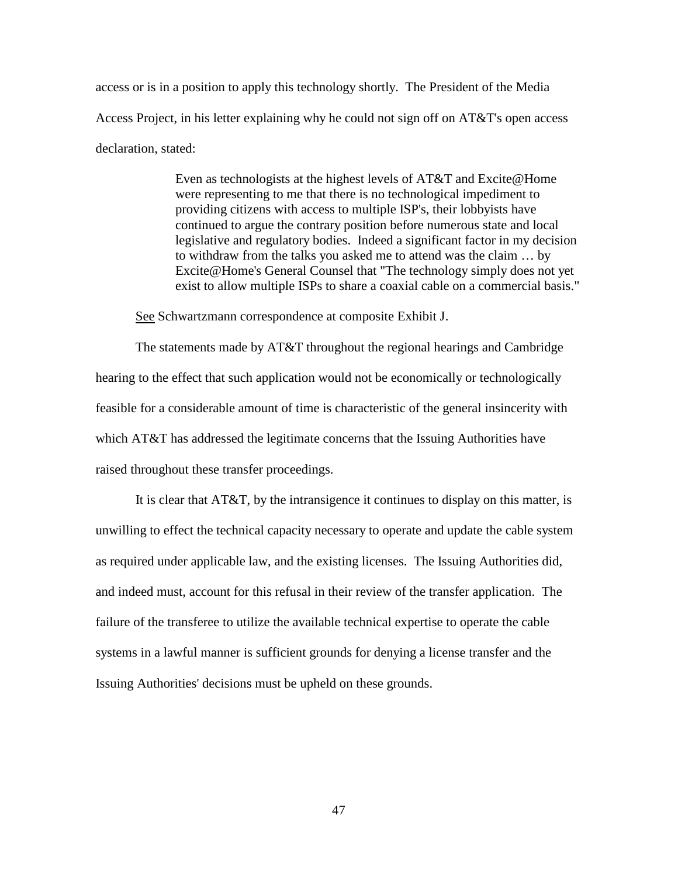access or is in a position to apply this technology shortly. The President of the Media Access Project, in his letter explaining why he could not sign off on AT&T's open access declaration, stated:

> Even as technologists at the highest levels of AT&T and Excite@Home were representing to me that there is no technological impediment to providing citizens with access to multiple ISP's, their lobbyists have continued to argue the contrary position before numerous state and local legislative and regulatory bodies. Indeed a significant factor in my decision to withdraw from the talks you asked me to attend was the claim … by Excite@Home's General Counsel that "The technology simply does not yet exist to allow multiple ISPs to share a coaxial cable on a commercial basis."

See Schwartzmann correspondence at composite Exhibit J.

The statements made by AT&T throughout the regional hearings and Cambridge hearing to the effect that such application would not be economically or technologically feasible for a considerable amount of time is characteristic of the general insincerity with which AT&T has addressed the legitimate concerns that the Issuing Authorities have raised throughout these transfer proceedings.

It is clear that AT&T, by the intransigence it continues to display on this matter, is unwilling to effect the technical capacity necessary to operate and update the cable system as required under applicable law, and the existing licenses. The Issuing Authorities did, and indeed must, account for this refusal in their review of the transfer application. The failure of the transferee to utilize the available technical expertise to operate the cable systems in a lawful manner is sufficient grounds for denying a license transfer and the Issuing Authorities' decisions must be upheld on these grounds.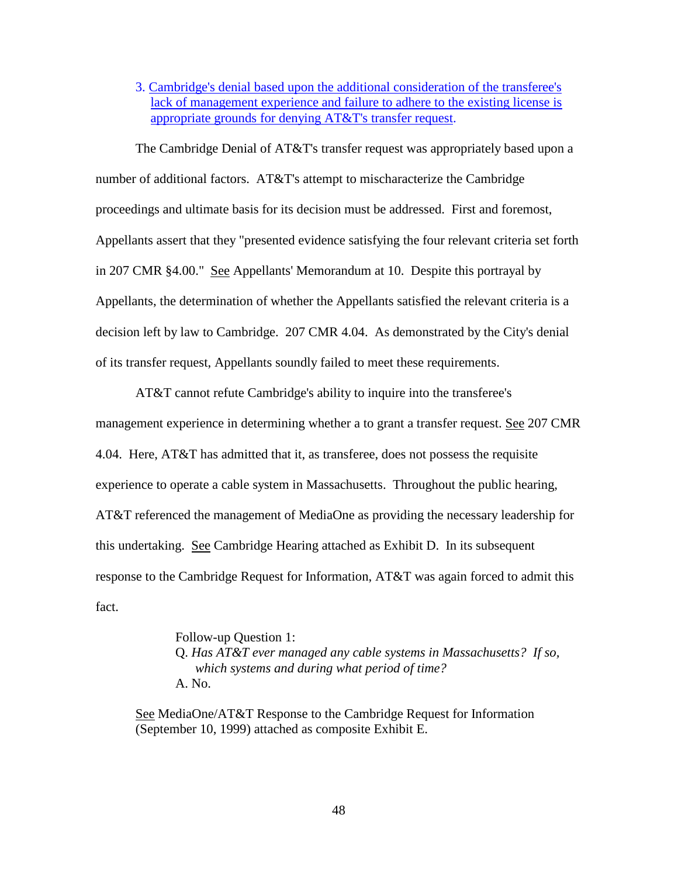3. Cambridge's denial based upon the additional consideration of the transferee's lack of management experience and failure to adhere to the existing license is appropriate grounds for denying AT&T's transfer request.

The Cambridge Denial of AT&T's transfer request was appropriately based upon a number of additional factors. AT&T's attempt to mischaracterize the Cambridge proceedings and ultimate basis for its decision must be addressed. First and foremost, Appellants assert that they "presented evidence satisfying the four relevant criteria set forth in 207 CMR §4.00." See Appellants' Memorandum at 10. Despite this portrayal by Appellants, the determination of whether the Appellants satisfied the relevant criteria is a decision left by law to Cambridge. 207 CMR 4.04. As demonstrated by the City's denial of its transfer request, Appellants soundly failed to meet these requirements.

AT&T cannot refute Cambridge's ability to inquire into the transferee's management experience in determining whether a to grant a transfer request. See 207 CMR 4.04. Here, AT&T has admitted that it, as transferee, does not possess the requisite experience to operate a cable system in Massachusetts. Throughout the public hearing, AT&T referenced the management of MediaOne as providing the necessary leadership for this undertaking. See Cambridge Hearing attached as Exhibit D. In its subsequent response to the Cambridge Request for Information, AT&T was again forced to admit this fact.

> Follow-up Question 1: Q. *Has AT&T ever managed any cable systems in Massachusetts? If so, which systems and during what period of time?* A. No.

See MediaOne/AT&T Response to the Cambridge Request for Information (September 10, 1999) attached as composite Exhibit E.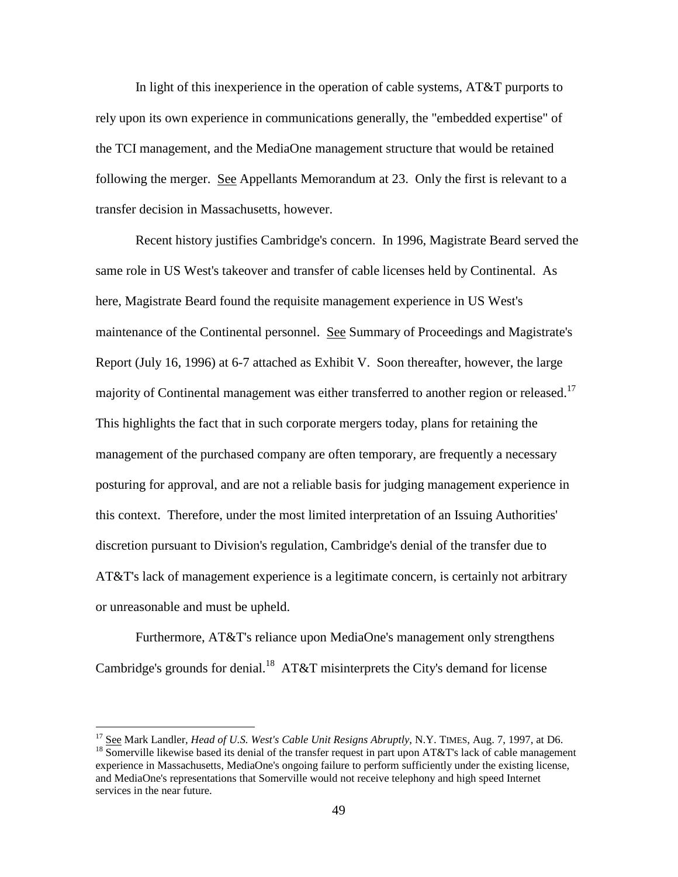In light of this inexperience in the operation of cable systems, AT&T purports to rely upon its own experience in communications generally, the "embedded expertise" of the TCI management, and the MediaOne management structure that would be retained following the merger. See Appellants Memorandum at 23. Only the first is relevant to a transfer decision in Massachusetts, however.

Recent history justifies Cambridge's concern. In 1996, Magistrate Beard served the same role in US West's takeover and transfer of cable licenses held by Continental. As here, Magistrate Beard found the requisite management experience in US West's maintenance of the Continental personnel. See Summary of Proceedings and Magistrate's Report (July 16, 1996) at 6-7 attached as Exhibit V. Soon thereafter, however, the large majority of Continental management was either transferred to another region or released.<sup>17</sup> This highlights the fact that in such corporate mergers today, plans for retaining the management of the purchased company are often temporary, are frequently a necessary posturing for approval, and are not a reliable basis for judging management experience in this context. Therefore, under the most limited interpretation of an Issuing Authorities' discretion pursuant to Division's regulation, Cambridge's denial of the transfer due to AT&T's lack of management experience is a legitimate concern, is certainly not arbitrary or unreasonable and must be upheld.

Furthermore, AT&T's reliance upon MediaOne's management only strengthens Cambridge's grounds for denial.<sup>18</sup> AT&T misinterprets the City's demand for license

<sup>17</sup> See Mark Landler, *Head of U.S. West's Cable Unit Resigns Abruptly*, N.Y. TIMES, Aug. 7, 1997, at D6.  $18$  Somerville likewise based its denial of the transfer request in part upon AT&T's lack of cable management experience in Massachusetts, MediaOne's ongoing failure to perform sufficiently under the existing license, and MediaOne's representations that Somerville would not receive telephony and high speed Internet services in the near future.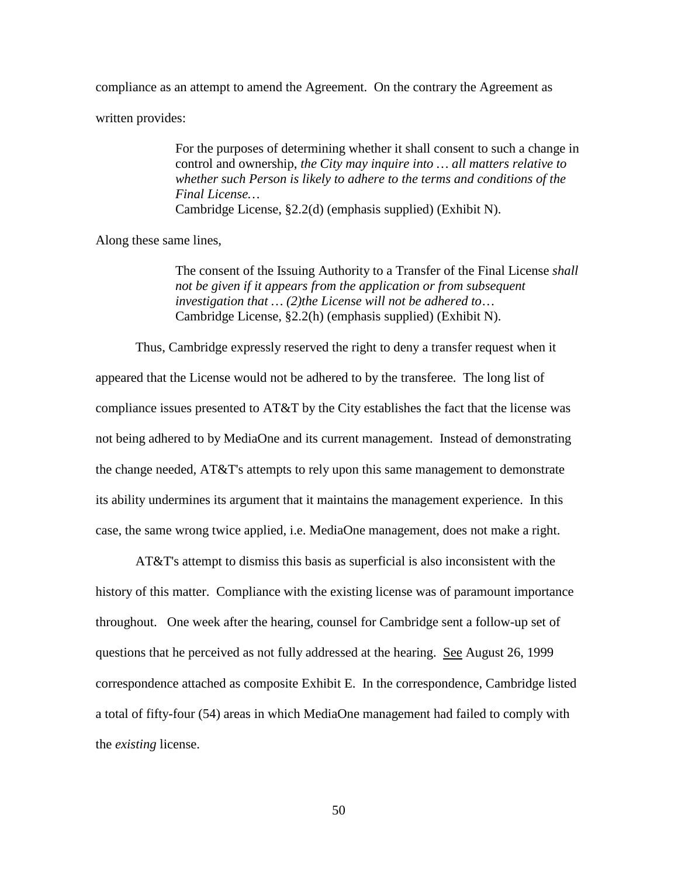compliance as an attempt to amend the Agreement. On the contrary the Agreement as

written provides:

For the purposes of determining whether it shall consent to such a change in control and ownership, *the City may inquire into … all matters relative to whether such Person is likely to adhere to the terms and conditions of the Final License…* Cambridge License, §2.2(d) (emphasis supplied) (Exhibit N).

Along these same lines,

The consent of the Issuing Authority to a Transfer of the Final License *shall not be given if it appears from the application or from subsequent investigation that … (2)the License will not be adhered to*… Cambridge License, §2.2(h) (emphasis supplied) (Exhibit N).

Thus, Cambridge expressly reserved the right to deny a transfer request when it appeared that the License would not be adhered to by the transferee. The long list of compliance issues presented to AT&T by the City establishes the fact that the license was not being adhered to by MediaOne and its current management. Instead of demonstrating the change needed, AT&T's attempts to rely upon this same management to demonstrate its ability undermines its argument that it maintains the management experience. In this case, the same wrong twice applied, i.e. MediaOne management, does not make a right.

AT&T's attempt to dismiss this basis as superficial is also inconsistent with the history of this matter. Compliance with the existing license was of paramount importance throughout. One week after the hearing, counsel for Cambridge sent a follow-up set of questions that he perceived as not fully addressed at the hearing. See August 26, 1999 correspondence attached as composite Exhibit E. In the correspondence, Cambridge listed a total of fifty-four (54) areas in which MediaOne management had failed to comply with the *existing* license.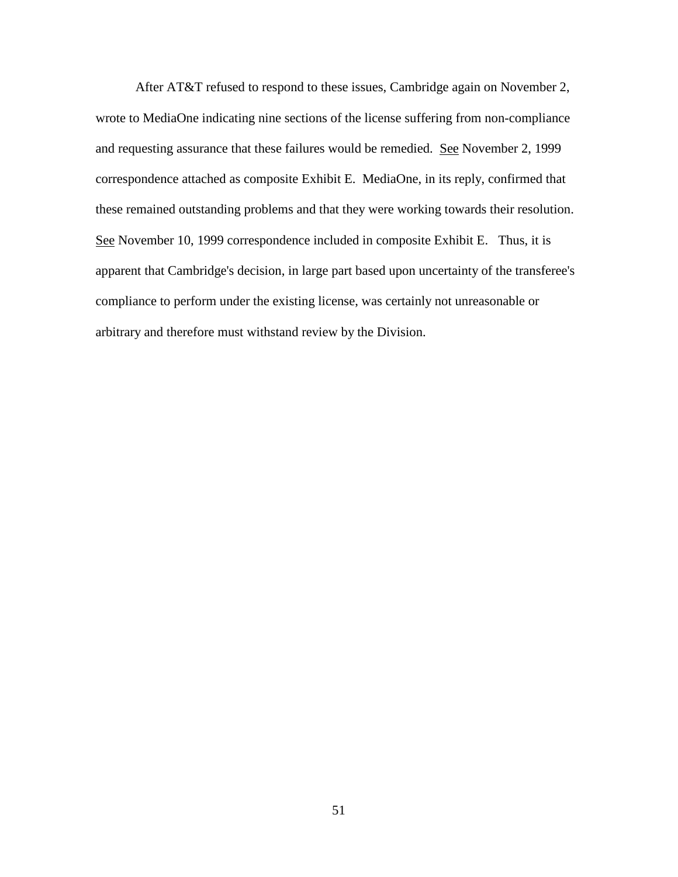After AT&T refused to respond to these issues, Cambridge again on November 2, wrote to MediaOne indicating nine sections of the license suffering from non-compliance and requesting assurance that these failures would be remedied. See November 2, 1999 correspondence attached as composite Exhibit E. MediaOne, in its reply, confirmed that these remained outstanding problems and that they were working towards their resolution. See November 10, 1999 correspondence included in composite Exhibit E. Thus, it is apparent that Cambridge's decision, in large part based upon uncertainty of the transferee's compliance to perform under the existing license, was certainly not unreasonable or arbitrary and therefore must withstand review by the Division.